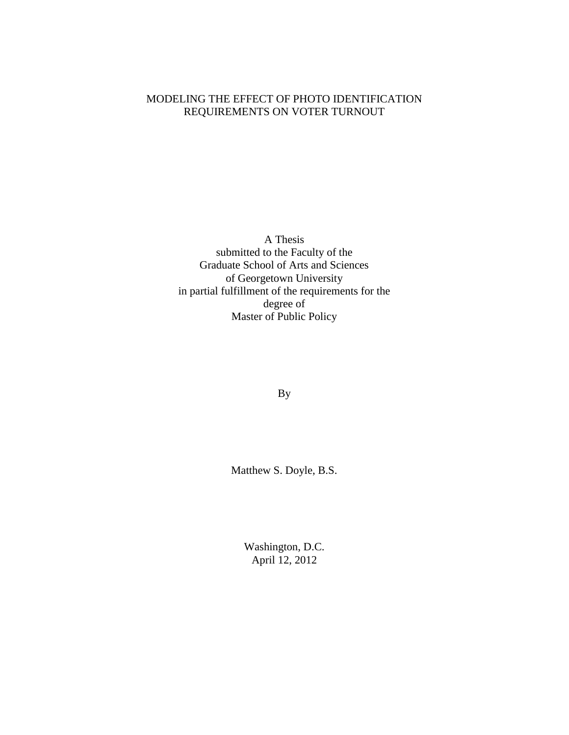### MODELING THE EFFECT OF PHOTO IDENTIFICATION REQUIREMENTS ON VOTER TURNOUT

A Thesis submitted to the Faculty of the Graduate School of Arts and Sciences of Georgetown University in partial fulfillment of the requirements for the degree of Master of Public Policy

By

Matthew S. Doyle, B.S.

Washington, D.C. April 12, 2012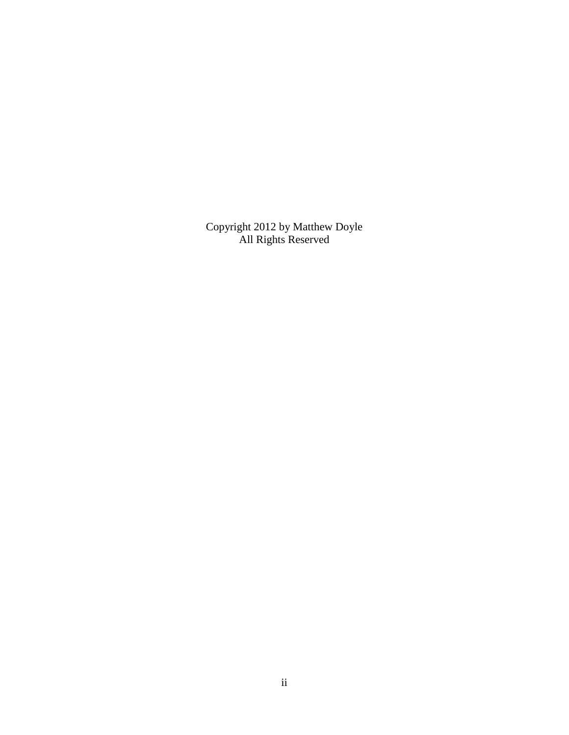Copyright 2012 by Matthew Doyle All Rights Reserved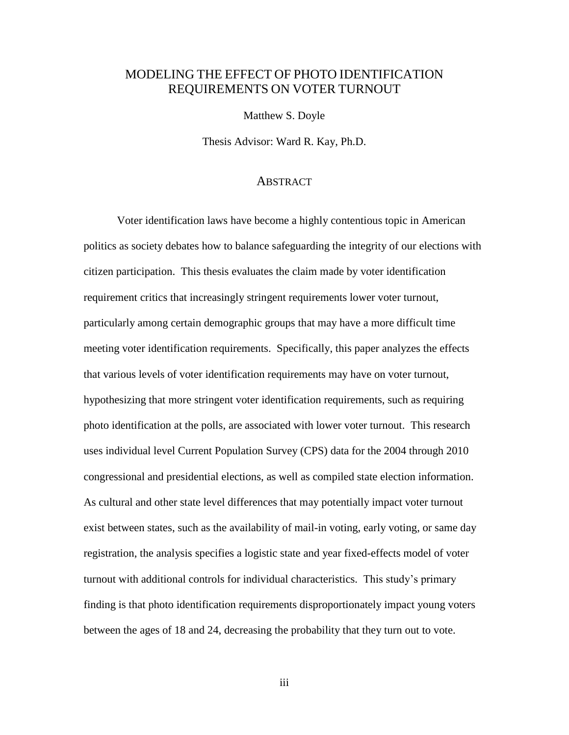### MODELING THE EFFECT OF PHOTO IDENTIFICATION REQUIREMENTS ON VOTER TURNOUT

Matthew S. Doyle

Thesis Advisor: Ward R. Kay, Ph.D.

#### **ABSTRACT**

Voter identification laws have become a highly contentious topic in American politics as society debates how to balance safeguarding the integrity of our elections with citizen participation. This thesis evaluates the claim made by voter identification requirement critics that increasingly stringent requirements lower voter turnout, particularly among certain demographic groups that may have a more difficult time meeting voter identification requirements. Specifically, this paper analyzes the effects that various levels of voter identification requirements may have on voter turnout, hypothesizing that more stringent voter identification requirements, such as requiring photo identification at the polls, are associated with lower voter turnout. This research uses individual level Current Population Survey (CPS) data for the 2004 through 2010 congressional and presidential elections, as well as compiled state election information. As cultural and other state level differences that may potentially impact voter turnout exist between states, such as the availability of mail-in voting, early voting, or same day registration, the analysis specifies a logistic state and year fixed-effects model of voter turnout with additional controls for individual characteristics. This study's primary finding is that photo identification requirements disproportionately impact young voters between the ages of 18 and 24, decreasing the probability that they turn out to vote.

iii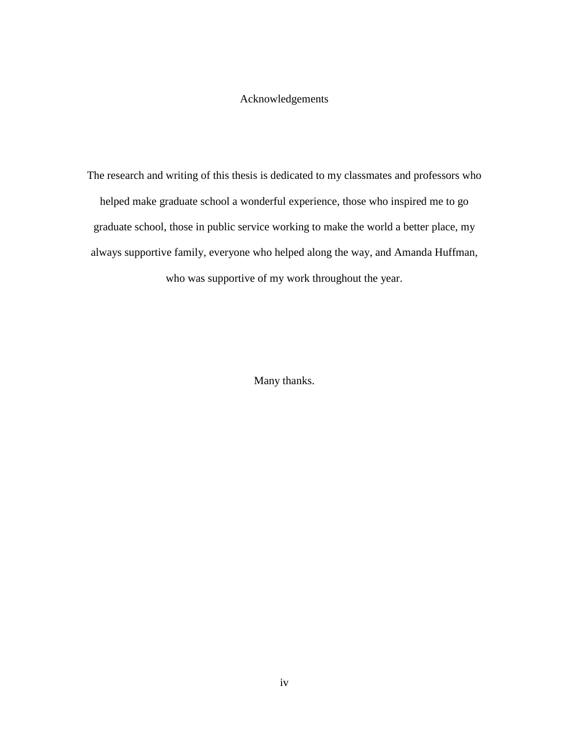### Acknowledgements

The research and writing of this thesis is dedicated to my classmates and professors who helped make graduate school a wonderful experience, those who inspired me to go graduate school, those in public service working to make the world a better place, my always supportive family, everyone who helped along the way, and Amanda Huffman, who was supportive of my work throughout the year.

Many thanks.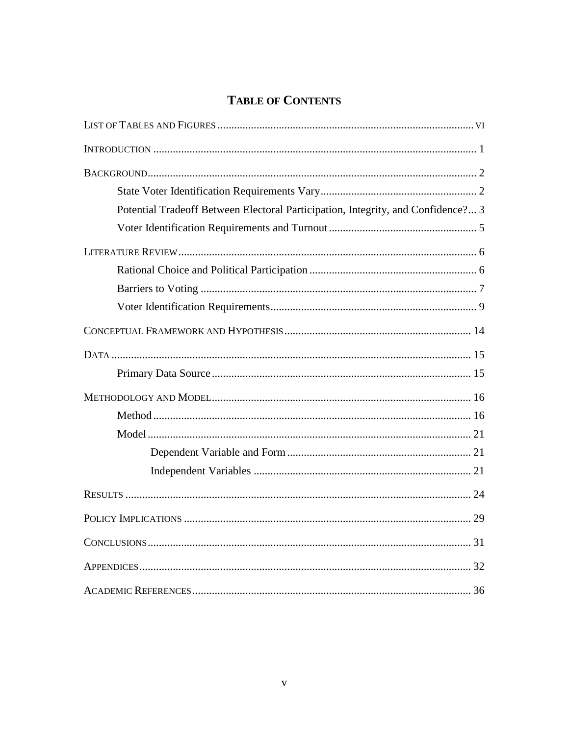## **TABLE OF CONTENTS**

| Potential Tradeoff Between Electoral Participation, Integrity, and Confidence? 3 |  |
|----------------------------------------------------------------------------------|--|
|                                                                                  |  |
|                                                                                  |  |
|                                                                                  |  |
|                                                                                  |  |
|                                                                                  |  |
|                                                                                  |  |
|                                                                                  |  |
|                                                                                  |  |
|                                                                                  |  |
|                                                                                  |  |
|                                                                                  |  |
|                                                                                  |  |
|                                                                                  |  |
|                                                                                  |  |
|                                                                                  |  |
|                                                                                  |  |
|                                                                                  |  |
|                                                                                  |  |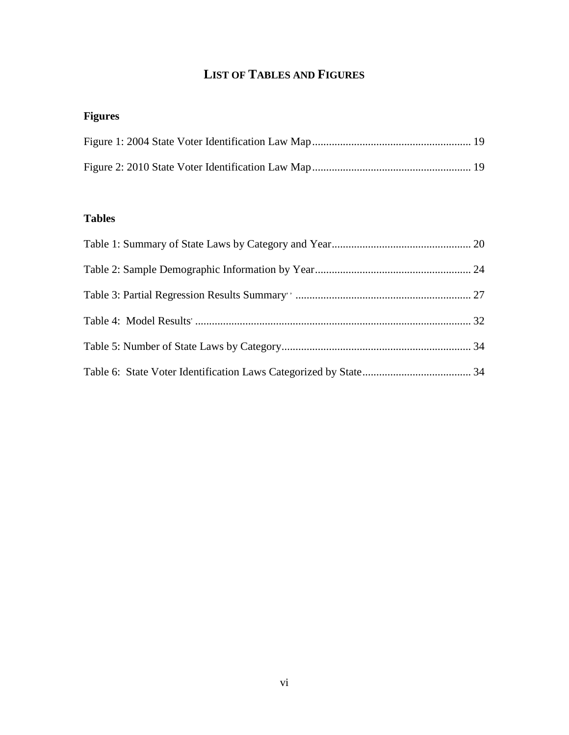# **LIST OF TABLES AND FIGURES**

# **Figures**

### **Tables**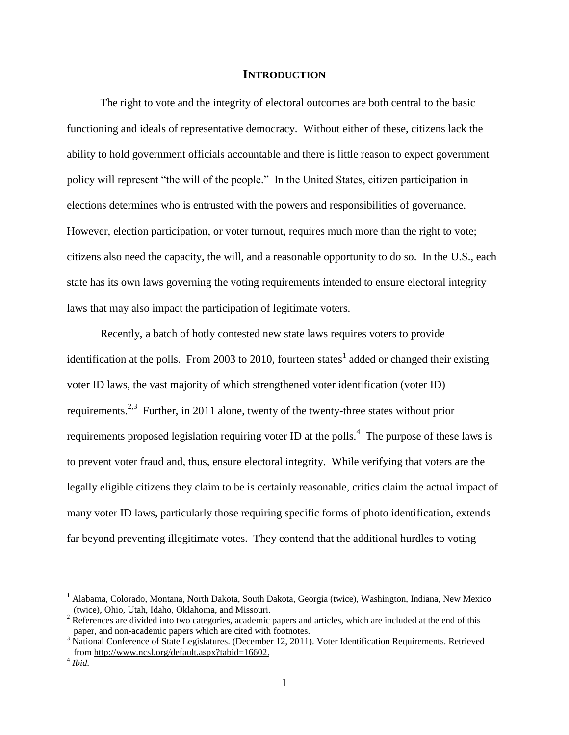#### **INTRODUCTION**

The right to vote and the integrity of electoral outcomes are both central to the basic functioning and ideals of representative democracy. Without either of these, citizens lack the ability to hold government officials accountable and there is little reason to expect government policy will represent "the will of the people." In the United States, citizen participation in elections determines who is entrusted with the powers and responsibilities of governance. However, election participation, or voter turnout, requires much more than the right to vote; citizens also need the capacity, the will, and a reasonable opportunity to do so. In the U.S., each state has its own laws governing the voting requirements intended to ensure electoral integrity laws that may also impact the participation of legitimate voters.

Recently, a batch of hotly contested new state laws requires voters to provide identification at the polls. From 2003 to 2010, fourteen states<sup>1</sup> added or changed their existing voter ID laws, the vast majority of which strengthened voter identification (voter ID) requirements.<sup>2,3</sup> Further, in 2011 alone, twenty of the twenty-three states without prior requirements proposed legislation requiring voter ID at the polls.<sup>4</sup> The purpose of these laws is to prevent voter fraud and, thus, ensure electoral integrity. While verifying that voters are the legally eligible citizens they claim to be is certainly reasonable, critics claim the actual impact of many voter ID laws, particularly those requiring specific forms of photo identification, extends far beyond preventing illegitimate votes. They contend that the additional hurdles to voting

<sup>&</sup>lt;sup>1</sup> Alabama, Colorado, Montana, North Dakota, South Dakota, Georgia (twice), Washington, Indiana, New Mexico (twice), Ohio, Utah, Idaho, Oklahoma, and Missouri.

<sup>&</sup>lt;sup>2</sup> References are divided into two categories, academic papers and articles, which are included at the end of this paper, and non-academic papers which are cited with footnotes.

<sup>&</sup>lt;sup>3</sup> National Conference of State Legislatures. (December 12, 2011). Voter Identification Requirements. Retrieved from [http://www.ncsl.org/default.aspx?tabid=16602.](http://www.ncsl.org/default.aspx?tabid=16602)

<sup>4</sup> *Ibid.*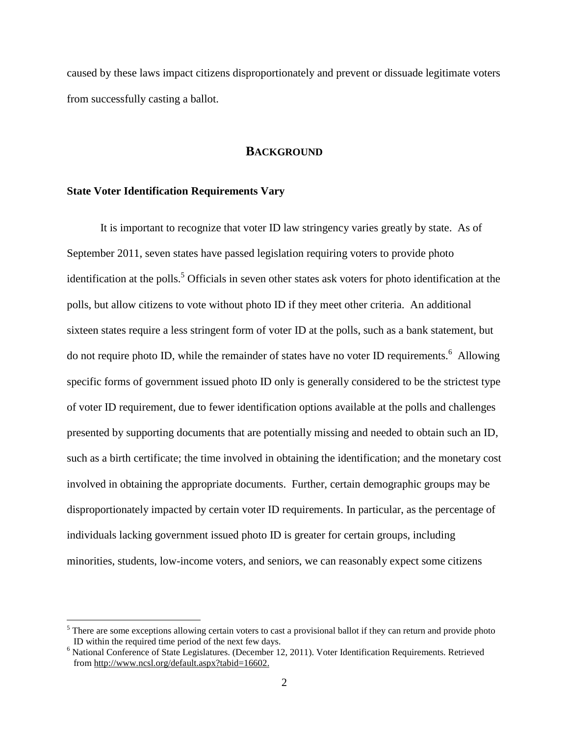caused by these laws impact citizens disproportionately and prevent or dissuade legitimate voters from successfully casting a ballot.

#### **BACKGROUND**

#### **State Voter Identification Requirements Vary**

 $\overline{a}$ 

It is important to recognize that voter ID law stringency varies greatly by state. As of September 2011, seven states have passed legislation requiring voters to provide photo identification at the polls.<sup>5</sup> Officials in seven other states ask voters for photo identification at the polls, but allow citizens to vote without photo ID if they meet other criteria. An additional sixteen states require a less stringent form of voter ID at the polls, such as a bank statement, but do not require photo ID, while the remainder of states have no voter ID requirements. <sup>6</sup> Allowing specific forms of government issued photo ID only is generally considered to be the strictest type of voter ID requirement, due to fewer identification options available at the polls and challenges presented by supporting documents that are potentially missing and needed to obtain such an ID, such as a birth certificate; the time involved in obtaining the identification; and the monetary cost involved in obtaining the appropriate documents. Further, certain demographic groups may be disproportionately impacted by certain voter ID requirements. In particular, as the percentage of individuals lacking government issued photo ID is greater for certain groups, including minorities, students, low-income voters, and seniors, we can reasonably expect some citizens

 $<sup>5</sup>$  There are some exceptions allowing certain voters to cast a provisional ballot if they can return and provide photo</sup> ID within the required time period of the next few days.

<sup>&</sup>lt;sup>6</sup> National Conference of State Legislatures. (December 12, 2011). Voter Identification Requirements. Retrieved from [http://www.ncsl.org/default.aspx?tabid=16602.](http://www.ncsl.org/default.aspx?tabid=16602)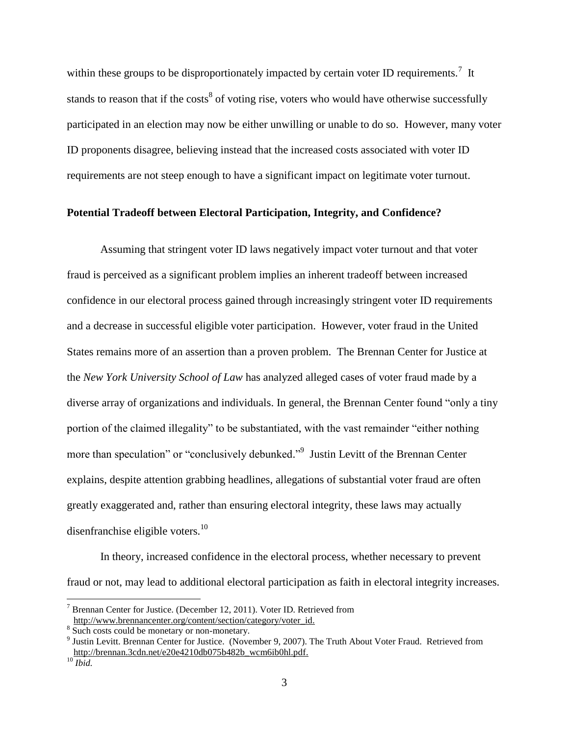within these groups to be disproportionately impacted by certain voter ID requirements.<sup>7</sup> It stands to reason that if the costs<sup>8</sup> of voting rise, voters who would have otherwise successfully participated in an election may now be either unwilling or unable to do so. However, many voter ID proponents disagree, believing instead that the increased costs associated with voter ID requirements are not steep enough to have a significant impact on legitimate voter turnout.

#### **Potential Tradeoff between Electoral Participation, Integrity, and Confidence?**

Assuming that stringent voter ID laws negatively impact voter turnout and that voter fraud is perceived as a significant problem implies an inherent tradeoff between increased confidence in our electoral process gained through increasingly stringent voter ID requirements and a decrease in successful eligible voter participation. However, voter fraud in the United States remains more of an assertion than a proven problem. The Brennan Center for Justice at the *New York University School of Law* has analyzed alleged cases of voter fraud made by a diverse array of organizations and individuals. In general, the Brennan Center found "only a tiny portion of the claimed illegality" to be substantiated, with the vast remainder "either nothing more than speculation" or "conclusively debunked."<sup>9</sup> Justin Levitt of the Brennan Center explains, despite attention grabbing headlines, allegations of substantial voter fraud are often greatly exaggerated and, rather than ensuring electoral integrity, these laws may actually disenfranchise eligible voters.<sup>10</sup>

In theory, increased confidence in the electoral process, whether necessary to prevent fraud or not, may lead to additional electoral participation as faith in electoral integrity increases.

 $7$  Brennan Center for Justice. (December 12, 2011). Voter ID. Retrieved from [http://www.brennancenter.org/content/section/category/voter\\_id.](http://www.brennancenter.org/content/section/category/voter_id)

<sup>&</sup>lt;sup>8</sup> Such costs could be monetary or non-monetary.

<sup>&</sup>lt;sup>9</sup> Justin Levitt. Brennan Center for Justice. (November 9, 2007). The Truth About Voter Fraud. Retrieved from [http://brennan.3cdn.net/e20e4210db075b482b\\_wcm6ib0hl.pdf.](http://brennan.3cdn.net/e20e4210db075b482b_wcm6ib0hl.pdf)

<sup>10</sup> *Ibid.*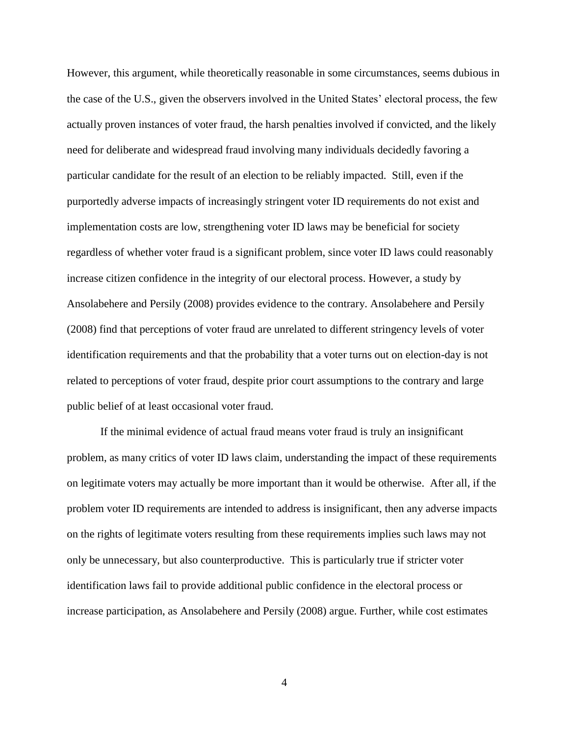However, this argument, while theoretically reasonable in some circumstances, seems dubious in the case of the U.S., given the observers involved in the United States' electoral process, the few actually proven instances of voter fraud, the harsh penalties involved if convicted, and the likely need for deliberate and widespread fraud involving many individuals decidedly favoring a particular candidate for the result of an election to be reliably impacted. Still, even if the purportedly adverse impacts of increasingly stringent voter ID requirements do not exist and implementation costs are low, strengthening voter ID laws may be beneficial for society regardless of whether voter fraud is a significant problem, since voter ID laws could reasonably increase citizen confidence in the integrity of our electoral process. However, a study by Ansolabehere and Persily (2008) provides evidence to the contrary. Ansolabehere and Persily (2008) find that perceptions of voter fraud are unrelated to different stringency levels of voter identification requirements and that the probability that a voter turns out on election-day is not related to perceptions of voter fraud, despite prior court assumptions to the contrary and large public belief of at least occasional voter fraud.

If the minimal evidence of actual fraud means voter fraud is truly an insignificant problem, as many critics of voter ID laws claim, understanding the impact of these requirements on legitimate voters may actually be more important than it would be otherwise. After all, if the problem voter ID requirements are intended to address is insignificant, then any adverse impacts on the rights of legitimate voters resulting from these requirements implies such laws may not only be unnecessary, but also counterproductive. This is particularly true if stricter voter identification laws fail to provide additional public confidence in the electoral process or increase participation, as Ansolabehere and Persily (2008) argue. Further, while cost estimates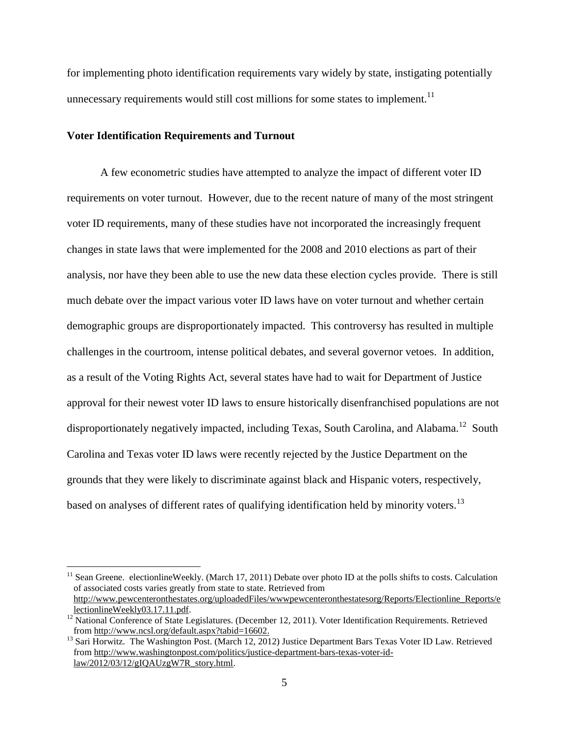for implementing photo identification requirements vary widely by state, instigating potentially unnecessary requirements would still cost millions for some states to implement.<sup>11</sup>

#### **Voter Identification Requirements and Turnout**

 $\overline{a}$ 

A few econometric studies have attempted to analyze the impact of different voter ID requirements on voter turnout. However, due to the recent nature of many of the most stringent voter ID requirements, many of these studies have not incorporated the increasingly frequent changes in state laws that were implemented for the 2008 and 2010 elections as part of their analysis, nor have they been able to use the new data these election cycles provide. There is still much debate over the impact various voter ID laws have on voter turnout and whether certain demographic groups are disproportionately impacted. This controversy has resulted in multiple challenges in the courtroom, intense political debates, and several governor vetoes. In addition, as a result of the Voting Rights Act, several states have had to wait for Department of Justice approval for their newest voter ID laws to ensure historically disenfranchised populations are not disproportionately negatively impacted, including Texas, South Carolina, and Alabama.<sup>12</sup> South Carolina and Texas voter ID laws were recently rejected by the Justice Department on the grounds that they were likely to discriminate against black and Hispanic voters, respectively, based on analyses of different rates of qualifying identification held by minority voters.<sup>13</sup>

 $11$  Sean Greene. electionlineWeekly. (March 17, 2011) Debate over photo ID at the polls shifts to costs. Calculation of associated costs varies greatly from state to state. Retrieved from [http://www.pewcenteronthestates.org/uploadedFiles/wwwpewcenteronthestatesorg/Reports/Electionline\\_Reports/e](http://www.pewcenteronthestates.org/uploadedFiles/wwwpewcenteronthestatesorg/Reports/Electionline_Reports/electionlineWeekly03.17.11.pdf) [lectionlineWeekly03.17.11.pdf.](http://www.pewcenteronthestates.org/uploadedFiles/wwwpewcenteronthestatesorg/Reports/Electionline_Reports/electionlineWeekly03.17.11.pdf)

<sup>&</sup>lt;sup>12</sup> National Conference of State Legislatures. (December 12, 2011). Voter Identification Requirements. Retrieved from [http://www.ncsl.org/default.aspx?tabid=16602.](http://www.ncsl.org/default.aspx?tabid=16602)

<sup>&</sup>lt;sup>13</sup> Sari Horwitz. The Washington Post. (March 12, 2012) Justice Department Bars Texas Voter ID Law. Retrieved from [http://www.washingtonpost.com/politics/justice-department-bars-texas-voter-id](http://www.washingtonpost.com/politics/justice-department-bars-texas-voter-id-law/2012/03/12/gIQAUzgW7R_story.html)[law/2012/03/12/gIQAUzgW7R\\_story.html.](http://www.washingtonpost.com/politics/justice-department-bars-texas-voter-id-law/2012/03/12/gIQAUzgW7R_story.html)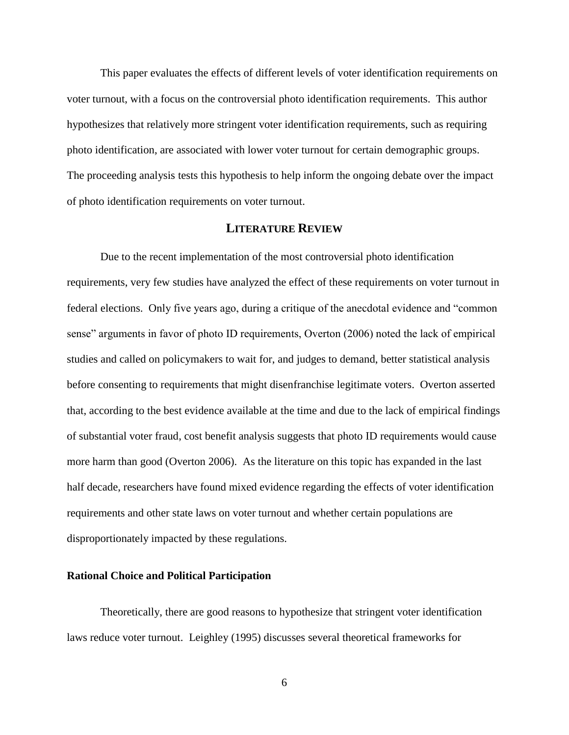This paper evaluates the effects of different levels of voter identification requirements on voter turnout, with a focus on the controversial photo identification requirements. This author hypothesizes that relatively more stringent voter identification requirements, such as requiring photo identification, are associated with lower voter turnout for certain demographic groups. The proceeding analysis tests this hypothesis to help inform the ongoing debate over the impact of photo identification requirements on voter turnout.

#### **LITERATURE REVIEW**

Due to the recent implementation of the most controversial photo identification requirements, very few studies have analyzed the effect of these requirements on voter turnout in federal elections. Only five years ago, during a critique of the anecdotal evidence and "common sense" arguments in favor of photo ID requirements, Overton (2006) noted the lack of empirical studies and called on policymakers to wait for, and judges to demand, better statistical analysis before consenting to requirements that might disenfranchise legitimate voters. Overton asserted that, according to the best evidence available at the time and due to the lack of empirical findings of substantial voter fraud, cost benefit analysis suggests that photo ID requirements would cause more harm than good (Overton 2006). As the literature on this topic has expanded in the last half decade, researchers have found mixed evidence regarding the effects of voter identification requirements and other state laws on voter turnout and whether certain populations are disproportionately impacted by these regulations.

#### **Rational Choice and Political Participation**

Theoretically, there are good reasons to hypothesize that stringent voter identification laws reduce voter turnout. Leighley (1995) discusses several theoretical frameworks for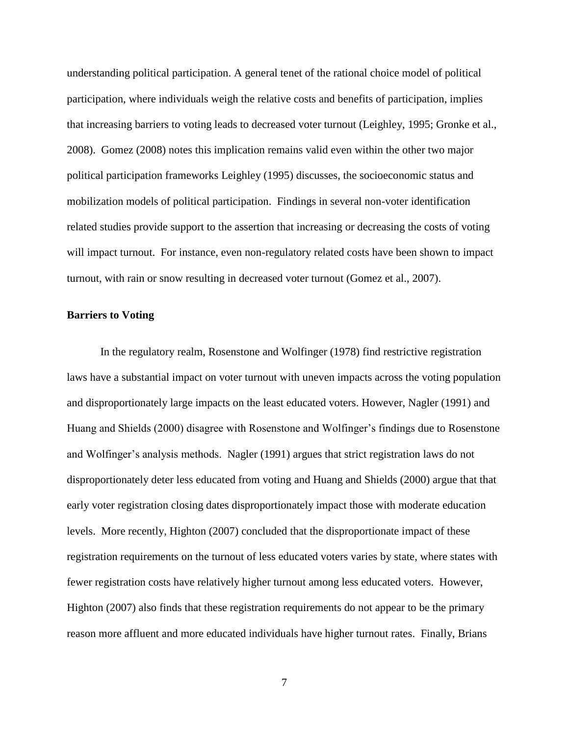understanding political participation. A general tenet of the rational choice model of political participation, where individuals weigh the relative costs and benefits of participation, implies that increasing barriers to voting leads to decreased voter turnout (Leighley, 1995; Gronke et al., 2008). Gomez (2008) notes this implication remains valid even within the other two major political participation frameworks Leighley (1995) discusses, the socioeconomic status and mobilization models of political participation. Findings in several non-voter identification related studies provide support to the assertion that increasing or decreasing the costs of voting will impact turnout. For instance, even non-regulatory related costs have been shown to impact turnout, with rain or snow resulting in decreased voter turnout (Gomez et al., 2007).

#### **Barriers to Voting**

In the regulatory realm, Rosenstone and Wolfinger (1978) find restrictive registration laws have a substantial impact on voter turnout with uneven impacts across the voting population and disproportionately large impacts on the least educated voters. However, Nagler (1991) and Huang and Shields (2000) disagree with Rosenstone and Wolfinger's findings due to Rosenstone and Wolfinger's analysis methods. Nagler (1991) argues that strict registration laws do not disproportionately deter less educated from voting and Huang and Shields (2000) argue that that early voter registration closing dates disproportionately impact those with moderate education levels. More recently, Highton (2007) concluded that the disproportionate impact of these registration requirements on the turnout of less educated voters varies by state, where states with fewer registration costs have relatively higher turnout among less educated voters. However, Highton (2007) also finds that these registration requirements do not appear to be the primary reason more affluent and more educated individuals have higher turnout rates. Finally, Brians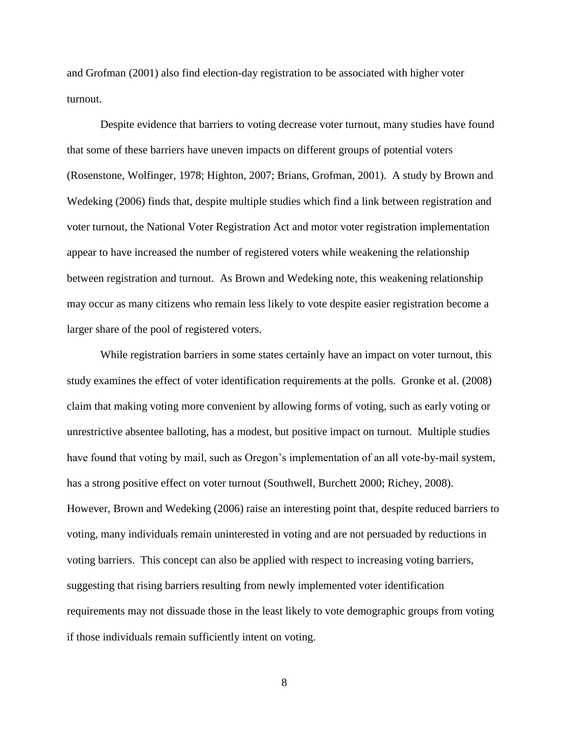and Grofman (2001) also find election-day registration to be associated with higher voter turnout.

Despite evidence that barriers to voting decrease voter turnout, many studies have found that some of these barriers have uneven impacts on different groups of potential voters (Rosenstone, Wolfinger, 1978; Highton, 2007; Brians, Grofman, 2001). A study by Brown and Wedeking (2006) finds that, despite multiple studies which find a link between registration and voter turnout, the National Voter Registration Act and motor voter registration implementation appear to have increased the number of registered voters while weakening the relationship between registration and turnout. As Brown and Wedeking note, this weakening relationship may occur as many citizens who remain less likely to vote despite easier registration become a larger share of the pool of registered voters.

While registration barriers in some states certainly have an impact on voter turnout, this study examines the effect of voter identification requirements at the polls. Gronke et al. (2008) claim that making voting more convenient by allowing forms of voting, such as early voting or unrestrictive absentee balloting, has a modest, but positive impact on turnout. Multiple studies have found that voting by mail, such as Oregon's implementation of an all vote-by-mail system, has a strong positive effect on voter turnout (Southwell, Burchett 2000; Richey, 2008). However, Brown and Wedeking (2006) raise an interesting point that, despite reduced barriers to voting, many individuals remain uninterested in voting and are not persuaded by reductions in voting barriers. This concept can also be applied with respect to increasing voting barriers, suggesting that rising barriers resulting from newly implemented voter identification requirements may not dissuade those in the least likely to vote demographic groups from voting if those individuals remain sufficiently intent on voting.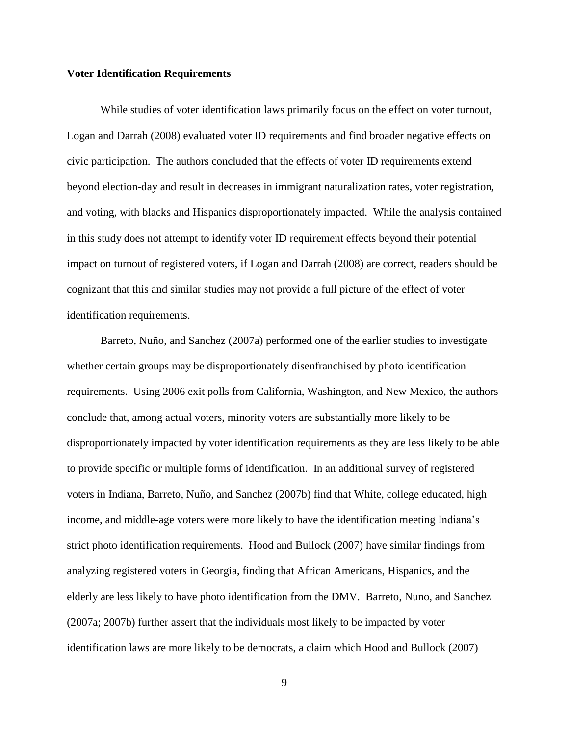#### **Voter Identification Requirements**

While studies of voter identification laws primarily focus on the effect on voter turnout, Logan and Darrah (2008) evaluated voter ID requirements and find broader negative effects on civic participation. The authors concluded that the effects of voter ID requirements extend beyond election-day and result in decreases in immigrant naturalization rates, voter registration, and voting, with blacks and Hispanics disproportionately impacted. While the analysis contained in this study does not attempt to identify voter ID requirement effects beyond their potential impact on turnout of registered voters, if Logan and Darrah (2008) are correct, readers should be cognizant that this and similar studies may not provide a full picture of the effect of voter identification requirements.

Barreto, Nuño, and Sanchez (2007a) performed one of the earlier studies to investigate whether certain groups may be disproportionately disenfranchised by photo identification requirements. Using 2006 exit polls from California, Washington, and New Mexico, the authors conclude that, among actual voters, minority voters are substantially more likely to be disproportionately impacted by voter identification requirements as they are less likely to be able to provide specific or multiple forms of identification. In an additional survey of registered voters in Indiana, Barreto, Nuño, and Sanchez (2007b) find that White, college educated, high income, and middle-age voters were more likely to have the identification meeting Indiana's strict photo identification requirements. Hood and Bullock (2007) have similar findings from analyzing registered voters in Georgia, finding that African Americans, Hispanics, and the elderly are less likely to have photo identification from the DMV. Barreto, Nuno, and Sanchez (2007a; 2007b) further assert that the individuals most likely to be impacted by voter identification laws are more likely to be democrats, a claim which Hood and Bullock (2007)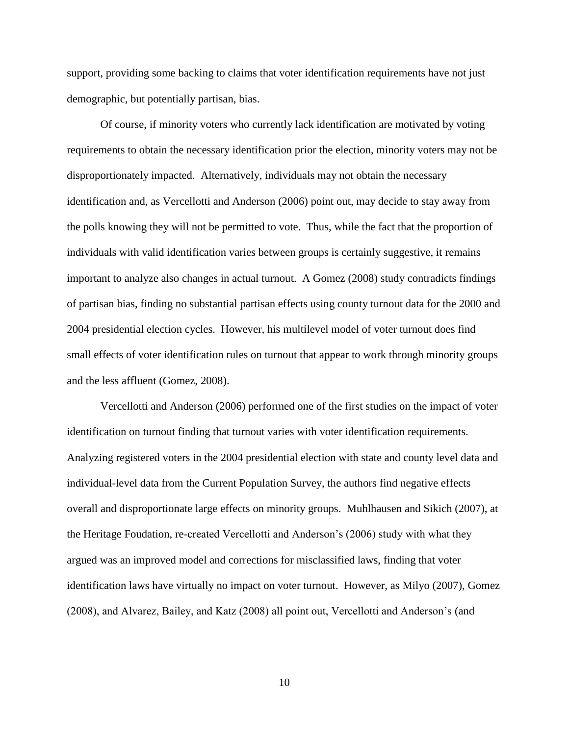support, providing some backing to claims that voter identification requirements have not just demographic, but potentially partisan, bias.

Of course, if minority voters who currently lack identification are motivated by voting requirements to obtain the necessary identification prior the election, minority voters may not be disproportionately impacted. Alternatively, individuals may not obtain the necessary identification and, as Vercellotti and Anderson (2006) point out, may decide to stay away from the polls knowing they will not be permitted to vote. Thus, while the fact that the proportion of individuals with valid identification varies between groups is certainly suggestive, it remains important to analyze also changes in actual turnout. A Gomez (2008) study contradicts findings of partisan bias, finding no substantial partisan effects using county turnout data for the 2000 and 2004 presidential election cycles. However, his multilevel model of voter turnout does find small effects of voter identification rules on turnout that appear to work through minority groups and the less affluent (Gomez, 2008).

Vercellotti and Anderson (2006) performed one of the first studies on the impact of voter identification on turnout finding that turnout varies with voter identification requirements. Analyzing registered voters in the 2004 presidential election with state and county level data and individual-level data from the Current Population Survey, the authors find negative effects overall and disproportionate large effects on minority groups. Muhlhausen and Sikich (2007), at the Heritage Foudation, re-created Vercellotti and Anderson's (2006) study with what they argued was an improved model and corrections for misclassified laws, finding that voter identification laws have virtually no impact on voter turnout. However, as Milyo (2007), Gomez (2008), and Alvarez, Bailey, and Katz (2008) all point out, Vercellotti and Anderson's (and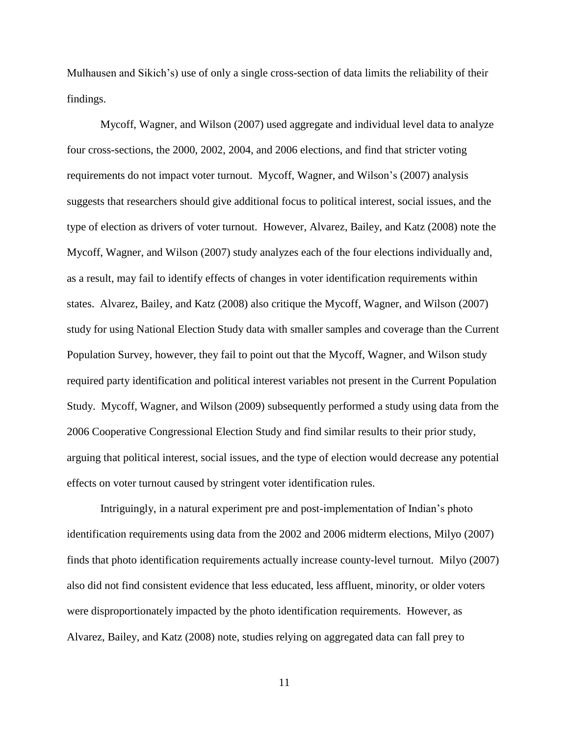Mulhausen and Sikich's) use of only a single cross-section of data limits the reliability of their findings.

Mycoff, Wagner, and Wilson (2007) used aggregate and individual level data to analyze four cross-sections, the 2000, 2002, 2004, and 2006 elections, and find that stricter voting requirements do not impact voter turnout. Mycoff, Wagner, and Wilson's (2007) analysis suggests that researchers should give additional focus to political interest, social issues, and the type of election as drivers of voter turnout. However, Alvarez, Bailey, and Katz (2008) note the Mycoff, Wagner, and Wilson (2007) study analyzes each of the four elections individually and, as a result, may fail to identify effects of changes in voter identification requirements within states. Alvarez, Bailey, and Katz (2008) also critique the Mycoff, Wagner, and Wilson (2007) study for using National Election Study data with smaller samples and coverage than the Current Population Survey, however, they fail to point out that the Mycoff, Wagner, and Wilson study required party identification and political interest variables not present in the Current Population Study. Mycoff, Wagner, and Wilson (2009) subsequently performed a study using data from the 2006 Cooperative Congressional Election Study and find similar results to their prior study, arguing that political interest, social issues, and the type of election would decrease any potential effects on voter turnout caused by stringent voter identification rules.

Intriguingly, in a natural experiment pre and post-implementation of Indian's photo identification requirements using data from the 2002 and 2006 midterm elections, Milyo (2007) finds that photo identification requirements actually increase county-level turnout. Milyo (2007) also did not find consistent evidence that less educated, less affluent, minority, or older voters were disproportionately impacted by the photo identification requirements. However, as Alvarez, Bailey, and Katz (2008) note, studies relying on aggregated data can fall prey to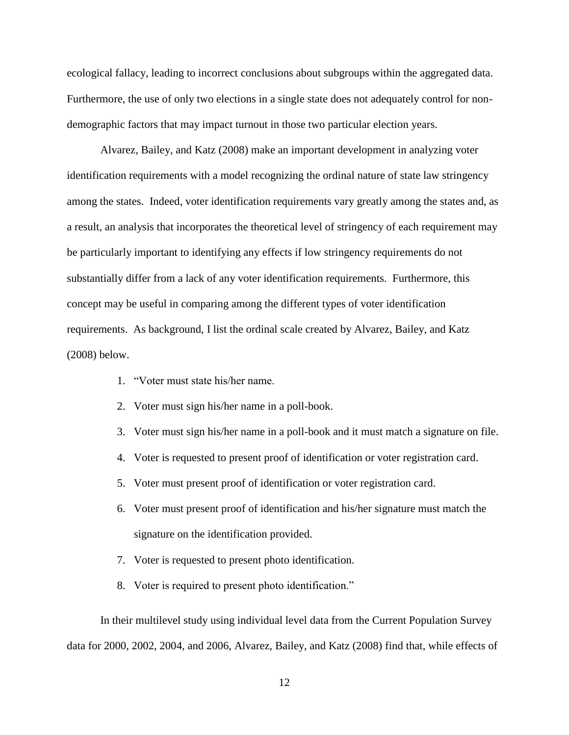ecological fallacy, leading to incorrect conclusions about subgroups within the aggregated data. Furthermore, the use of only two elections in a single state does not adequately control for nondemographic factors that may impact turnout in those two particular election years.

Alvarez, Bailey, and Katz (2008) make an important development in analyzing voter identification requirements with a model recognizing the ordinal nature of state law stringency among the states. Indeed, voter identification requirements vary greatly among the states and, as a result, an analysis that incorporates the theoretical level of stringency of each requirement may be particularly important to identifying any effects if low stringency requirements do not substantially differ from a lack of any voter identification requirements. Furthermore, this concept may be useful in comparing among the different types of voter identification requirements. As background, I list the ordinal scale created by Alvarez, Bailey, and Katz (2008) below.

- 1. "Voter must state his/her name.
- 2. Voter must sign his/her name in a poll-book.
- 3. Voter must sign his/her name in a poll-book and it must match a signature on file.
- 4. Voter is requested to present proof of identification or voter registration card.
- 5. Voter must present proof of identification or voter registration card.
- 6. Voter must present proof of identification and his/her signature must match the signature on the identification provided.
- 7. Voter is requested to present photo identification.
- 8. Voter is required to present photo identification."

In their multilevel study using individual level data from the Current Population Survey data for 2000, 2002, 2004, and 2006, Alvarez, Bailey, and Katz (2008) find that, while effects of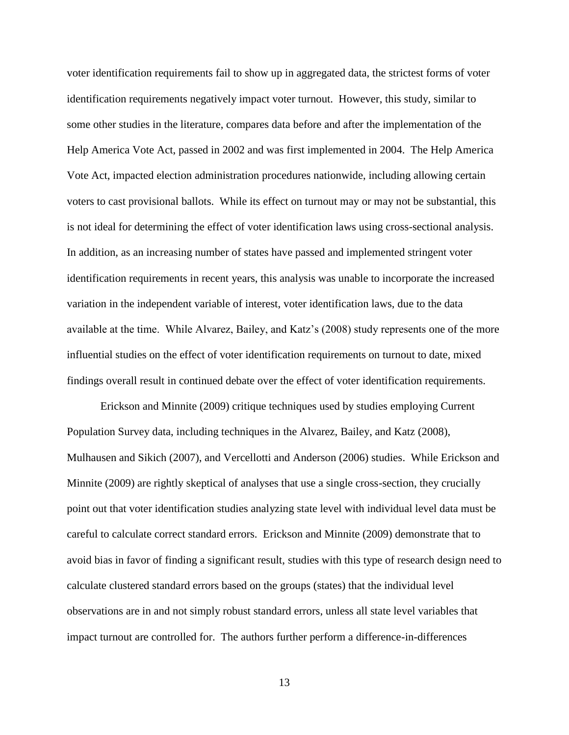voter identification requirements fail to show up in aggregated data, the strictest forms of voter identification requirements negatively impact voter turnout. However, this study, similar to some other studies in the literature, compares data before and after the implementation of the Help America Vote Act, passed in 2002 and was first implemented in 2004. The Help America Vote Act, impacted election administration procedures nationwide, including allowing certain voters to cast provisional ballots. While its effect on turnout may or may not be substantial, this is not ideal for determining the effect of voter identification laws using cross-sectional analysis. In addition, as an increasing number of states have passed and implemented stringent voter identification requirements in recent years, this analysis was unable to incorporate the increased variation in the independent variable of interest, voter identification laws, due to the data available at the time. While Alvarez, Bailey, and Katz's (2008) study represents one of the more influential studies on the effect of voter identification requirements on turnout to date, mixed findings overall result in continued debate over the effect of voter identification requirements.

Erickson and Minnite (2009) critique techniques used by studies employing Current Population Survey data, including techniques in the Alvarez, Bailey, and Katz (2008), Mulhausen and Sikich (2007), and Vercellotti and Anderson (2006) studies. While Erickson and Minnite (2009) are rightly skeptical of analyses that use a single cross-section, they crucially point out that voter identification studies analyzing state level with individual level data must be careful to calculate correct standard errors. Erickson and Minnite (2009) demonstrate that to avoid bias in favor of finding a significant result, studies with this type of research design need to calculate clustered standard errors based on the groups (states) that the individual level observations are in and not simply robust standard errors, unless all state level variables that impact turnout are controlled for. The authors further perform a difference-in-differences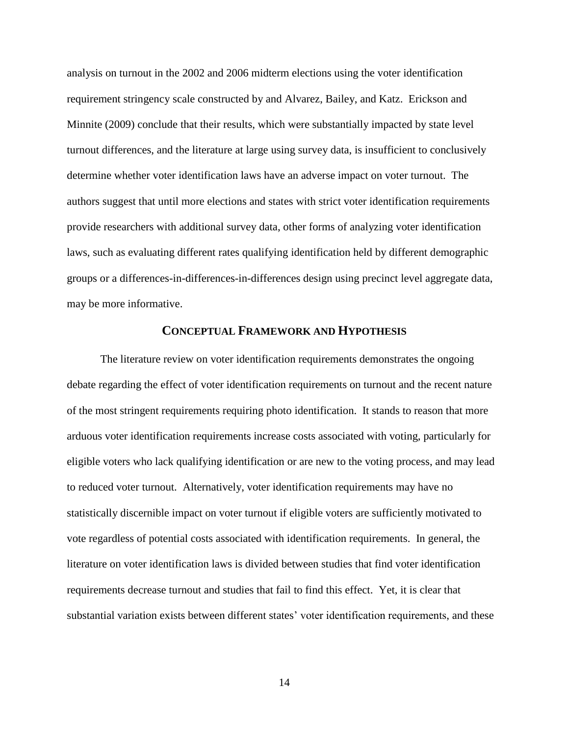analysis on turnout in the 2002 and 2006 midterm elections using the voter identification requirement stringency scale constructed by and Alvarez, Bailey, and Katz. Erickson and Minnite (2009) conclude that their results, which were substantially impacted by state level turnout differences, and the literature at large using survey data, is insufficient to conclusively determine whether voter identification laws have an adverse impact on voter turnout. The authors suggest that until more elections and states with strict voter identification requirements provide researchers with additional survey data, other forms of analyzing voter identification laws, such as evaluating different rates qualifying identification held by different demographic groups or a differences-in-differences-in-differences design using precinct level aggregate data, may be more informative.

#### **CONCEPTUAL FRAMEWORK AND HYPOTHESIS**

The literature review on voter identification requirements demonstrates the ongoing debate regarding the effect of voter identification requirements on turnout and the recent nature of the most stringent requirements requiring photo identification. It stands to reason that more arduous voter identification requirements increase costs associated with voting, particularly for eligible voters who lack qualifying identification or are new to the voting process, and may lead to reduced voter turnout. Alternatively, voter identification requirements may have no statistically discernible impact on voter turnout if eligible voters are sufficiently motivated to vote regardless of potential costs associated with identification requirements. In general, the literature on voter identification laws is divided between studies that find voter identification requirements decrease turnout and studies that fail to find this effect. Yet, it is clear that substantial variation exists between different states' voter identification requirements, and these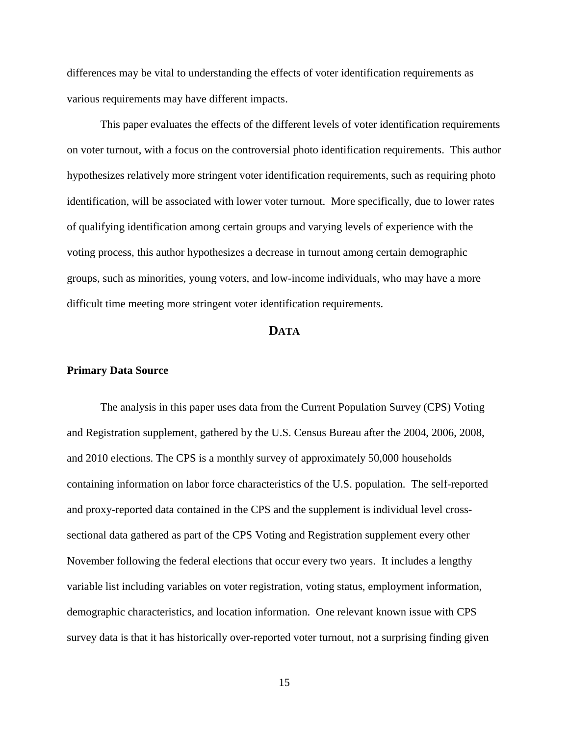differences may be vital to understanding the effects of voter identification requirements as various requirements may have different impacts.

This paper evaluates the effects of the different levels of voter identification requirements on voter turnout, with a focus on the controversial photo identification requirements. This author hypothesizes relatively more stringent voter identification requirements, such as requiring photo identification, will be associated with lower voter turnout. More specifically, due to lower rates of qualifying identification among certain groups and varying levels of experience with the voting process, this author hypothesizes a decrease in turnout among certain demographic groups, such as minorities, young voters, and low-income individuals, who may have a more difficult time meeting more stringent voter identification requirements.

#### **DATA**

#### **Primary Data Source**

The analysis in this paper uses data from the Current Population Survey (CPS) Voting and Registration supplement, gathered by the U.S. Census Bureau after the 2004, 2006, 2008, and 2010 elections. The CPS is a monthly survey of approximately 50,000 households containing information on labor force characteristics of the U.S. population. The self-reported and proxy-reported data contained in the CPS and the supplement is individual level crosssectional data gathered as part of the CPS Voting and Registration supplement every other November following the federal elections that occur every two years. It includes a lengthy variable list including variables on voter registration, voting status, employment information, demographic characteristics, and location information. One relevant known issue with CPS survey data is that it has historically over-reported voter turnout, not a surprising finding given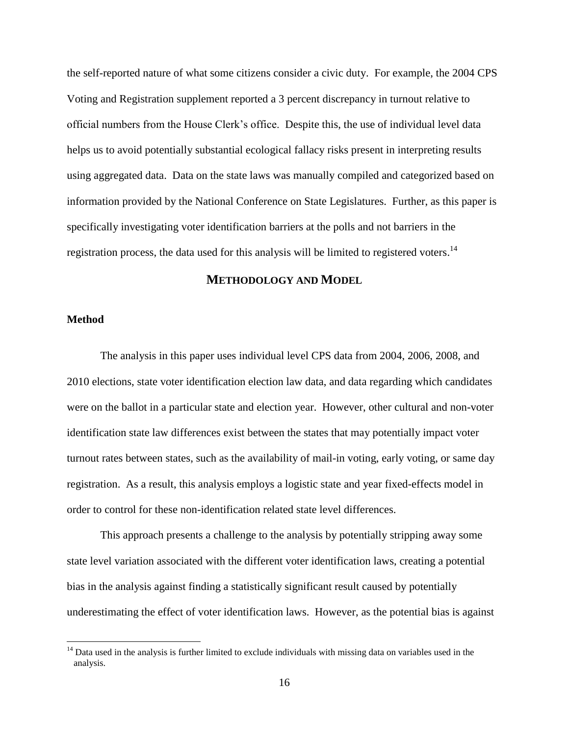the self-reported nature of what some citizens consider a civic duty. For example, the 2004 CPS Voting and Registration supplement reported a 3 percent discrepancy in turnout relative to official numbers from the House Clerk's office. Despite this, the use of individual level data helps us to avoid potentially substantial ecological fallacy risks present in interpreting results using aggregated data. Data on the state laws was manually compiled and categorized based on information provided by the National Conference on State Legislatures. Further, as this paper is specifically investigating voter identification barriers at the polls and not barriers in the registration process, the data used for this analysis will be limited to registered voters.<sup>14</sup>

#### **METHODOLOGY AND MODEL**

#### **Method**

 $\overline{a}$ 

The analysis in this paper uses individual level CPS data from 2004, 2006, 2008, and 2010 elections, state voter identification election law data, and data regarding which candidates were on the ballot in a particular state and election year. However, other cultural and non-voter identification state law differences exist between the states that may potentially impact voter turnout rates between states, such as the availability of mail-in voting, early voting, or same day registration. As a result, this analysis employs a logistic state and year fixed-effects model in order to control for these non-identification related state level differences.

This approach presents a challenge to the analysis by potentially stripping away some state level variation associated with the different voter identification laws, creating a potential bias in the analysis against finding a statistically significant result caused by potentially underestimating the effect of voter identification laws. However, as the potential bias is against

 $14$  Data used in the analysis is further limited to exclude individuals with missing data on variables used in the analysis.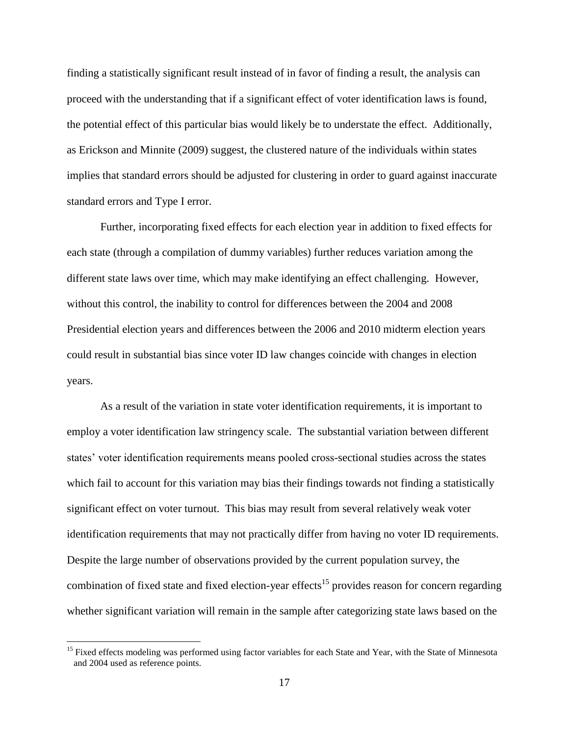finding a statistically significant result instead of in favor of finding a result, the analysis can proceed with the understanding that if a significant effect of voter identification laws is found, the potential effect of this particular bias would likely be to understate the effect. Additionally, as Erickson and Minnite (2009) suggest, the clustered nature of the individuals within states implies that standard errors should be adjusted for clustering in order to guard against inaccurate standard errors and Type I error.

Further, incorporating fixed effects for each election year in addition to fixed effects for each state (through a compilation of dummy variables) further reduces variation among the different state laws over time, which may make identifying an effect challenging. However, without this control, the inability to control for differences between the 2004 and 2008 Presidential election years and differences between the 2006 and 2010 midterm election years could result in substantial bias since voter ID law changes coincide with changes in election years.

As a result of the variation in state voter identification requirements, it is important to employ a voter identification law stringency scale. The substantial variation between different states' voter identification requirements means pooled cross-sectional studies across the states which fail to account for this variation may bias their findings towards not finding a statistically significant effect on voter turnout. This bias may result from several relatively weak voter identification requirements that may not practically differ from having no voter ID requirements. Despite the large number of observations provided by the current population survey, the combination of fixed state and fixed election-year effects<sup>15</sup> provides reason for concern regarding whether significant variation will remain in the sample after categorizing state laws based on the

<sup>&</sup>lt;sup>15</sup> Fixed effects modeling was performed using factor variables for each State and Year, with the State of Minnesota and 2004 used as reference points.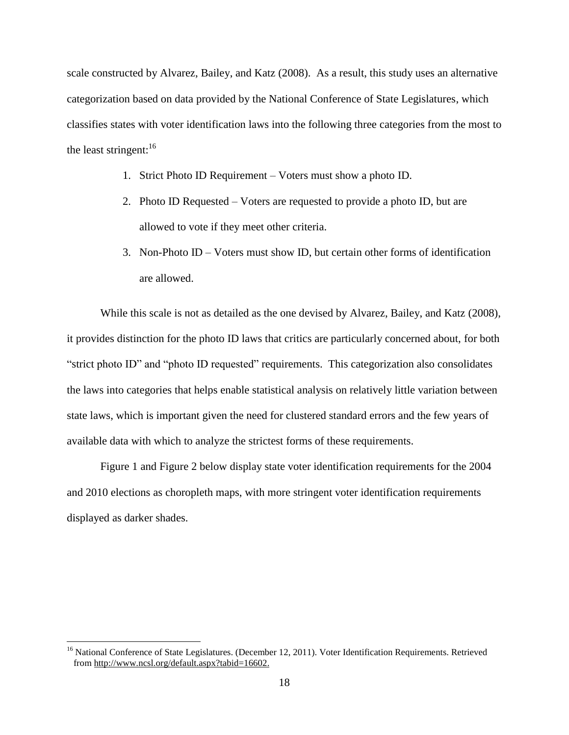scale constructed by Alvarez, Bailey, and Katz (2008). As a result, this study uses an alternative categorization based on data provided by the National Conference of State Legislatures, which classifies states with voter identification laws into the following three categories from the most to the least stringent: $16$ 

- 1. Strict Photo ID Requirement Voters must show a photo ID.
- 2. Photo ID Requested Voters are requested to provide a photo ID, but are allowed to vote if they meet other criteria.
- 3. Non-Photo ID Voters must show ID, but certain other forms of identification are allowed.

While this scale is not as detailed as the one devised by Alvarez, Bailey, and Katz (2008), it provides distinction for the photo ID laws that critics are particularly concerned about, for both "strict photo ID" and "photo ID requested" requirements. This categorization also consolidates the laws into categories that helps enable statistical analysis on relatively little variation between state laws, which is important given the need for clustered standard errors and the few years of available data with which to analyze the strictest forms of these requirements.

[Figure 1](#page-24-0) and [Figure 2](#page-24-1) below display state voter identification requirements for the 2004 and 2010 elections as choropleth maps, with more stringent voter identification requirements displayed as darker shades.

<sup>&</sup>lt;sup>16</sup> National Conference of State Legislatures. (December 12, 2011). Voter Identification Requirements. Retrieved from [http://www.ncsl.org/default.aspx?tabid=16602.](http://www.ncsl.org/default.aspx?tabid=16602)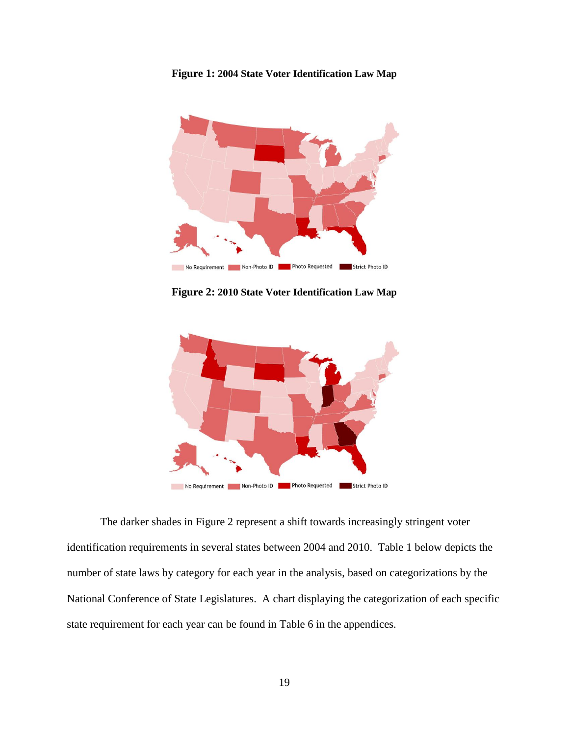<span id="page-24-0"></span>



**Figure 2: 2010 State Voter Identification Law Map**

<span id="page-24-1"></span>

The darker shades in [Figure 2](#page-24-1) represent a shift towards increasingly stringent voter identification requirements in several states between 2004 and 2010. [Table 1](#page-25-0) below depicts the number of state laws by category for each year in the analysis, based on categorizations by the National Conference of State Legislatures. A chart displaying the categorization of each specific state requirement for each year can be found in [Table 6](#page-39-1) in the appendices.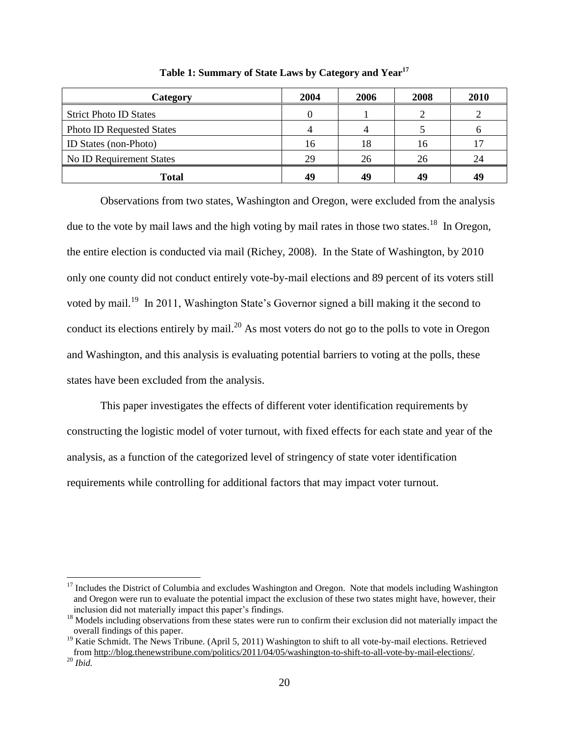<span id="page-25-0"></span>

| Category                         | 2004 | 2006 | 2008 | 2010 |
|----------------------------------|------|------|------|------|
| <b>Strict Photo ID States</b>    |      |      |      |      |
| <b>Photo ID Requested States</b> |      |      |      |      |
| ID States (non-Photo)            | 16   | 18   | 16   |      |
| No ID Requirement States         | 29   | 26   | 26   | 24   |
| Total                            | 49   | 49   | 49   | 49   |

**Table 1: Summary of State Laws by Category and Year<sup>17</sup>**

Observations from two states, Washington and Oregon, were excluded from the analysis due to the vote by mail laws and the high voting by mail rates in those two states.<sup>18</sup> In Oregon, the entire election is conducted via mail (Richey, 2008). In the State of Washington, by 2010 only one county did not conduct entirely vote-by-mail elections and 89 percent of its voters still voted by mail.<sup>19</sup> In 2011, Washington State's Governor signed a bill making it the second to conduct its elections entirely by mail.<sup>20</sup> As most voters do not go to the polls to vote in Oregon and Washington, and this analysis is evaluating potential barriers to voting at the polls, these states have been excluded from the analysis.

This paper investigates the effects of different voter identification requirements by constructing the logistic model of voter turnout, with fixed effects for each state and year of the analysis, as a function of the categorized level of stringency of state voter identification requirements while controlling for additional factors that may impact voter turnout.

<sup>&</sup>lt;sup>17</sup> Includes the District of Columbia and excludes Washington and Oregon. Note that models including Washington and Oregon were run to evaluate the potential impact the exclusion of these two states might have, however, their inclusion did not materially impact this paper's findings.

<sup>&</sup>lt;sup>18</sup> Models including observations from these states were run to confirm their exclusion did not materially impact the overall findings of this paper.

<sup>&</sup>lt;sup>19</sup> Katie Schmidt. The News Tribune. (April 5, 2011) Washington to shift to all vote-by-mail elections. Retrieved from [http://blog.thenewstribune.com/politics/2011/04/05/washington-to-shift-to-all-vote-by-mail-elections/.](http://blog.thenewstribune.com/politics/2011/04/05/washington-to-shift-to-all-vote-by-mail-elections/)

<sup>20</sup> *Ibid.*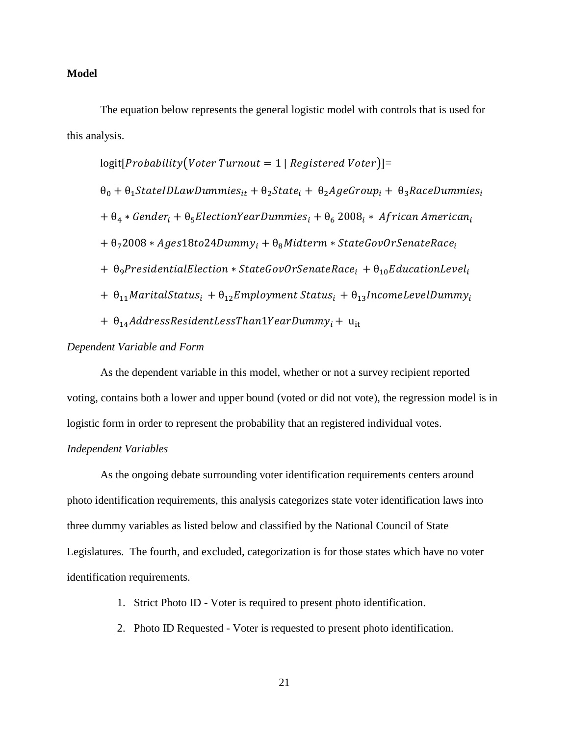#### **Model**

The equation below represents the general logistic model with controls that is used for this analysis.

$$
logit[Probability(Voter Turnout = 1 | Registered Voter)] =
$$
\n
$$
\theta_0 + \theta_1 \text{StateIDLawDummies}_{it} + \theta_2 \text{State}_i + \theta_2 \text{AgeGroup}_i + \theta_3 \text{RaceDummies}_{it}
$$
\n
$$
+ \theta_4 * \text{Gender}_i + \theta_5 \text{ElectronYearDummies}_i + \theta_6 2008_i * African American_i
$$
\n
$$
+ \theta_7 2008 * Ages18 to 24Dummy_i + \theta_8 Midterm * StateGovOr Senate Race_i
$$
\n
$$
+ \theta_9 \text{President} \cdot \text{StateGovOr Senate Race}_i + \theta_{10} \text{EducationLevel}_i
$$
\n
$$
+ \theta_{11} \text{MaritalStatus}_i + \theta_{12} \text{Employment Status}_i + \theta_{13} \text{IncomeLevelDummy}_i
$$
\n
$$
+ \theta_{14} \text{AddressResidentLessFinalYearDummy}_i + u_{it}
$$

#### *Dependent Variable and Form*

As the dependent variable in this model, whether or not a survey recipient reported voting, contains both a lower and upper bound (voted or did not vote), the regression model is in logistic form in order to represent the probability that an registered individual votes.

#### *Independent Variables*

As the ongoing debate surrounding voter identification requirements centers around photo identification requirements, this analysis categorizes state voter identification laws into three dummy variables as listed below and classified by the National Council of State Legislatures. The fourth, and excluded, categorization is for those states which have no voter identification requirements.

- 1. Strict Photo ID Voter is required to present photo identification.
- 2. Photo ID Requested Voter is requested to present photo identification.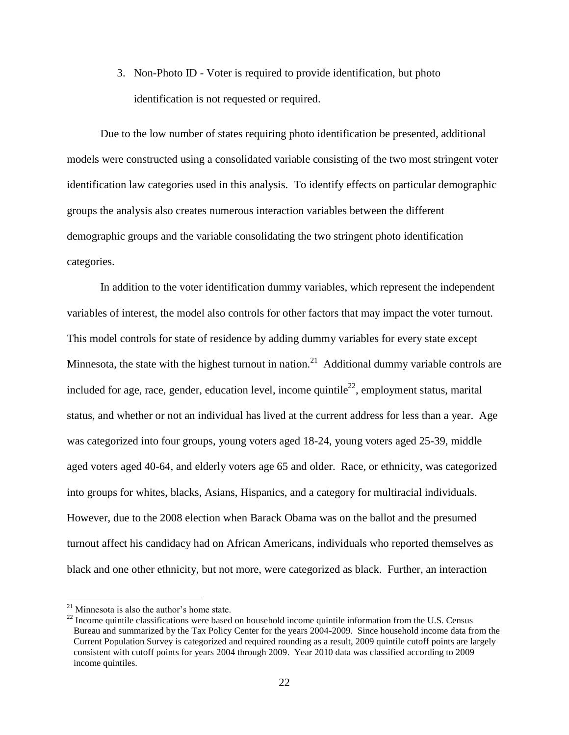3. Non-Photo ID - Voter is required to provide identification, but photo identification is not requested or required.

Due to the low number of states requiring photo identification be presented, additional models were constructed using a consolidated variable consisting of the two most stringent voter identification law categories used in this analysis. To identify effects on particular demographic groups the analysis also creates numerous interaction variables between the different demographic groups and the variable consolidating the two stringent photo identification categories.

In addition to the voter identification dummy variables, which represent the independent variables of interest, the model also controls for other factors that may impact the voter turnout. This model controls for state of residence by adding dummy variables for every state except Minnesota, the state with the highest turnout in nation.<sup>21</sup> Additional dummy variable controls are included for age, race, gender, education level, income quintile<sup>22</sup>, employment status, marital status, and whether or not an individual has lived at the current address for less than a year. Age was categorized into four groups, young voters aged 18-24, young voters aged 25-39, middle aged voters aged 40-64, and elderly voters age 65 and older. Race, or ethnicity, was categorized into groups for whites, blacks, Asians, Hispanics, and a category for multiracial individuals. However, due to the 2008 election when Barack Obama was on the ballot and the presumed turnout affect his candidacy had on African Americans, individuals who reported themselves as black and one other ethnicity, but not more, were categorized as black. Further, an interaction

 $21$  Minnesota is also the author's home state.

 $22$  Income quintile classifications were based on household income quintile information from the U.S. Census Bureau and summarized by the Tax Policy Center for the years 2004-2009. Since household income data from the Current Population Survey is categorized and required rounding as a result, 2009 quintile cutoff points are largely consistent with cutoff points for years 2004 through 2009. Year 2010 data was classified according to 2009 income quintiles.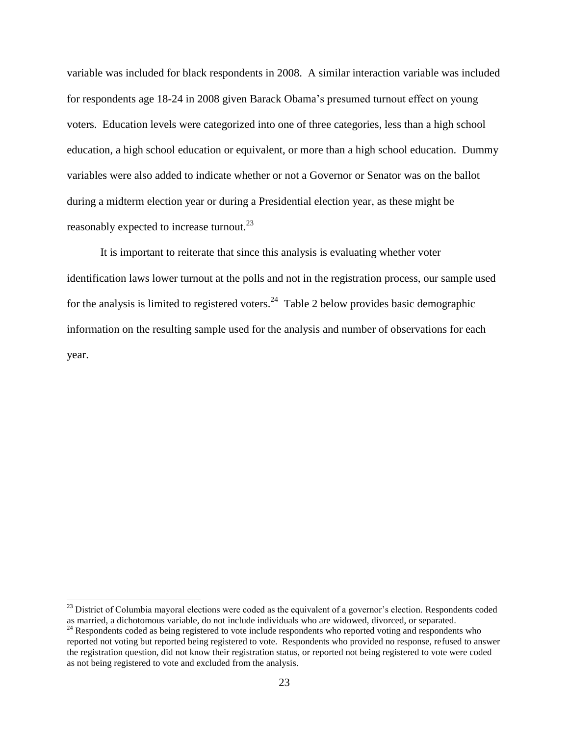variable was included for black respondents in 2008. A similar interaction variable was included for respondents age 18-24 in 2008 given Barack Obama's presumed turnout effect on young voters. Education levels were categorized into one of three categories, less than a high school education, a high school education or equivalent, or more than a high school education. Dummy variables were also added to indicate whether or not a Governor or Senator was on the ballot during a midterm election year or during a Presidential election year, as these might be reasonably expected to increase turnout.<sup>23</sup>

It is important to reiterate that since this analysis is evaluating whether voter identification laws lower turnout at the polls and not in the registration process, our sample used for the analysis is limited to registered voters.<sup>24</sup> [Table 2](#page-29-0) below provides basic demographic information on the resulting sample used for the analysis and number of observations for each year.

 $^{23}$  District of Columbia mayoral elections were coded as the equivalent of a governor's election. Respondents coded as married, a dichotomous variable, do not include individuals who are widowed, divorced, or separated.

<sup>&</sup>lt;sup>24</sup> Respondents coded as being registered to vote include respondents who reported voting and respondents who reported not voting but reported being registered to vote. Respondents who provided no response, refused to answer the registration question, did not know their registration status, or reported not being registered to vote were coded as not being registered to vote and excluded from the analysis.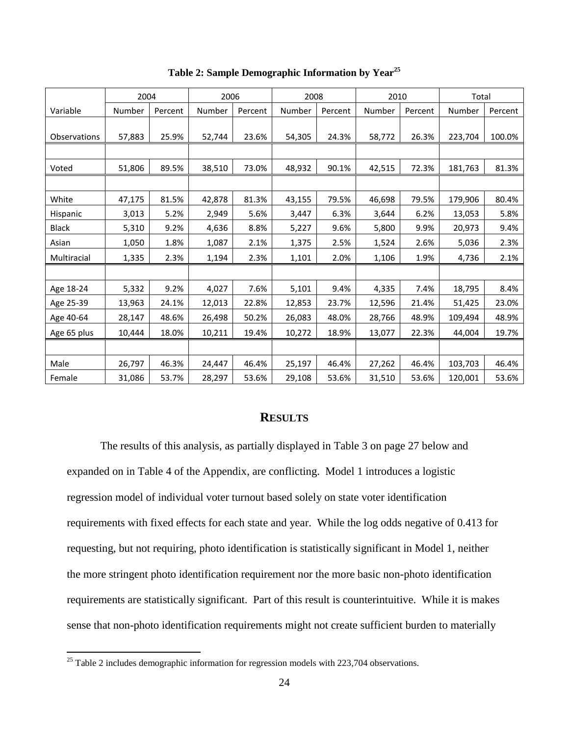<span id="page-29-0"></span>

|                     | 2004   |         | 2006   |         | 2008   |         | 2010   |         | Total   |         |
|---------------------|--------|---------|--------|---------|--------|---------|--------|---------|---------|---------|
| Variable            | Number | Percent | Number | Percent | Number | Percent | Number | Percent | Number  | Percent |
|                     |        |         |        |         |        |         |        |         |         |         |
| <b>Observations</b> | 57,883 | 25.9%   | 52,744 | 23.6%   | 54,305 | 24.3%   | 58,772 | 26.3%   | 223,704 | 100.0%  |
|                     |        |         |        |         |        |         |        |         |         |         |
| Voted               | 51,806 | 89.5%   | 38,510 | 73.0%   | 48,932 | 90.1%   | 42,515 | 72.3%   | 181,763 | 81.3%   |
|                     |        |         |        |         |        |         |        |         |         |         |
| White               | 47,175 | 81.5%   | 42,878 | 81.3%   | 43,155 | 79.5%   | 46,698 | 79.5%   | 179,906 | 80.4%   |
| Hispanic            | 3,013  | 5.2%    | 2,949  | 5.6%    | 3,447  | 6.3%    | 3,644  | 6.2%    | 13,053  | 5.8%    |
| <b>Black</b>        | 5,310  | 9.2%    | 4,636  | 8.8%    | 5,227  | 9.6%    | 5,800  | 9.9%    | 20,973  | 9.4%    |
| Asian               | 1,050  | 1.8%    | 1,087  | 2.1%    | 1,375  | 2.5%    | 1,524  | 2.6%    | 5,036   | 2.3%    |
| Multiracial         | 1,335  | 2.3%    | 1,194  | 2.3%    | 1,101  | 2.0%    | 1,106  | 1.9%    | 4,736   | 2.1%    |
|                     |        |         |        |         |        |         |        |         |         |         |
| Age 18-24           | 5,332  | 9.2%    | 4,027  | 7.6%    | 5,101  | 9.4%    | 4,335  | 7.4%    | 18,795  | 8.4%    |
| Age 25-39           | 13,963 | 24.1%   | 12,013 | 22.8%   | 12,853 | 23.7%   | 12,596 | 21.4%   | 51,425  | 23.0%   |
| Age 40-64           | 28,147 | 48.6%   | 26,498 | 50.2%   | 26,083 | 48.0%   | 28,766 | 48.9%   | 109,494 | 48.9%   |
| Age 65 plus         | 10,444 | 18.0%   | 10,211 | 19.4%   | 10,272 | 18.9%   | 13,077 | 22.3%   | 44,004  | 19.7%   |
|                     |        |         |        |         |        |         |        |         |         |         |
| Male                | 26,797 | 46.3%   | 24,447 | 46.4%   | 25,197 | 46.4%   | 27,262 | 46.4%   | 103,703 | 46.4%   |
| Female              | 31,086 | 53.7%   | 28,297 | 53.6%   | 29,108 | 53.6%   | 31,510 | 53.6%   | 120,001 | 53.6%   |

**Table 2: Sample Demographic Information by Year<sup>25</sup>**

#### **RESULTS**

The results of this analysis, as partially displayed in [Table 3](#page-32-0) on page [27](#page-32-0) below and expanded on in [Table 4](#page-37-0) of the Appendix, are conflicting. Model 1 introduces a logistic regression model of individual voter turnout based solely on state voter identification requirements with fixed effects for each state and year. While the log odds negative of 0.413 for requesting, but not requiring, photo identification is statistically significant in Model 1, neither the more stringent photo identification requirement nor the more basic non-photo identification requirements are statistically significant. Part of this result is counterintuitive. While it is makes sense that non-photo identification requirements might not create sufficient burden to materially

<sup>&</sup>lt;sup>25</sup> [Table 2](#page-29-0) includes demographic information for regression models with 223,704 observations.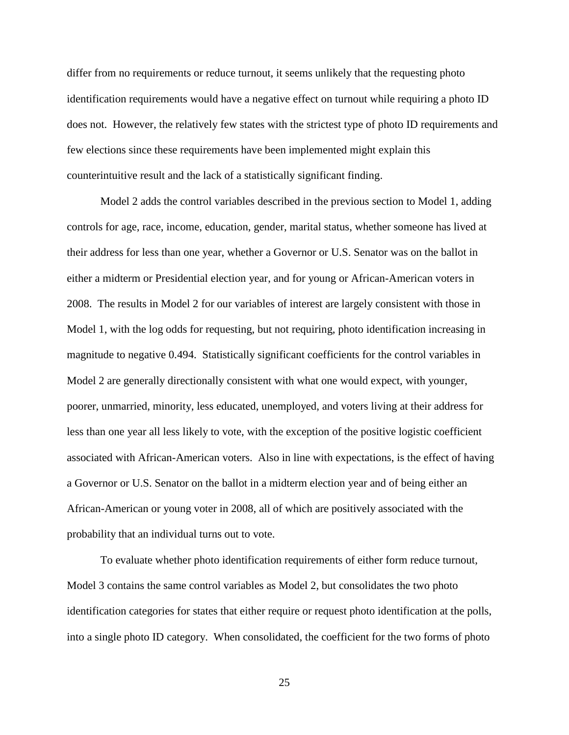differ from no requirements or reduce turnout, it seems unlikely that the requesting photo identification requirements would have a negative effect on turnout while requiring a photo ID does not. However, the relatively few states with the strictest type of photo ID requirements and few elections since these requirements have been implemented might explain this counterintuitive result and the lack of a statistically significant finding.

Model 2 adds the control variables described in the previous section to Model 1, adding controls for age, race, income, education, gender, marital status, whether someone has lived at their address for less than one year, whether a Governor or U.S. Senator was on the ballot in either a midterm or Presidential election year, and for young or African-American voters in 2008. The results in Model 2 for our variables of interest are largely consistent with those in Model 1, with the log odds for requesting, but not requiring, photo identification increasing in magnitude to negative 0.494. Statistically significant coefficients for the control variables in Model 2 are generally directionally consistent with what one would expect, with younger, poorer, unmarried, minority, less educated, unemployed, and voters living at their address for less than one year all less likely to vote, with the exception of the positive logistic coefficient associated with African-American voters. Also in line with expectations, is the effect of having a Governor or U.S. Senator on the ballot in a midterm election year and of being either an African-American or young voter in 2008, all of which are positively associated with the probability that an individual turns out to vote.

To evaluate whether photo identification requirements of either form reduce turnout, Model 3 contains the same control variables as Model 2, but consolidates the two photo identification categories for states that either require or request photo identification at the polls, into a single photo ID category. When consolidated, the coefficient for the two forms of photo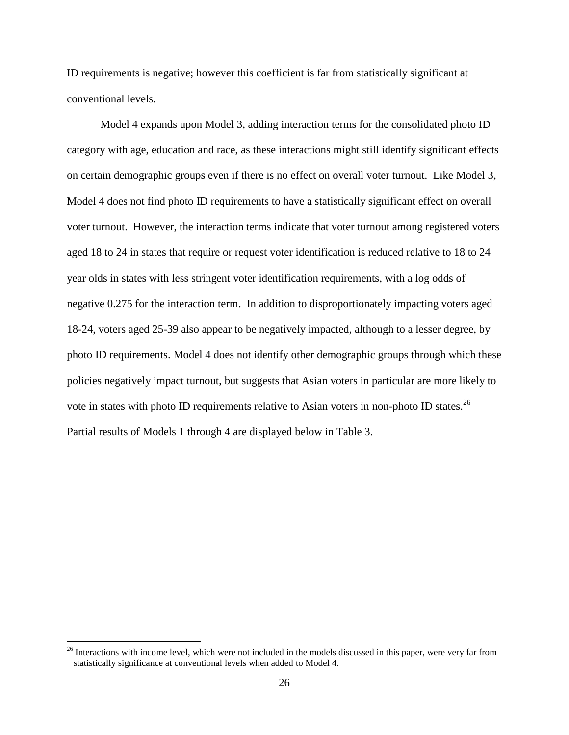ID requirements is negative; however this coefficient is far from statistically significant at conventional levels.

Model 4 expands upon Model 3, adding interaction terms for the consolidated photo ID category with age, education and race, as these interactions might still identify significant effects on certain demographic groups even if there is no effect on overall voter turnout. Like Model 3, Model 4 does not find photo ID requirements to have a statistically significant effect on overall voter turnout. However, the interaction terms indicate that voter turnout among registered voters aged 18 to 24 in states that require or request voter identification is reduced relative to 18 to 24 year olds in states with less stringent voter identification requirements, with a log odds of negative 0.275 for the interaction term. In addition to disproportionately impacting voters aged 18-24, voters aged 25-39 also appear to be negatively impacted, although to a lesser degree, by photo ID requirements. Model 4 does not identify other demographic groups through which these policies negatively impact turnout, but suggests that Asian voters in particular are more likely to vote in states with photo ID requirements relative to Asian voters in non-photo ID states.<sup>26</sup> Partial results of Models 1 through 4 are displayed below in [Table 3.](#page-32-0)

 $26$  Interactions with income level, which were not included in the models discussed in this paper, were very far from statistically significance at conventional levels when added to Model 4.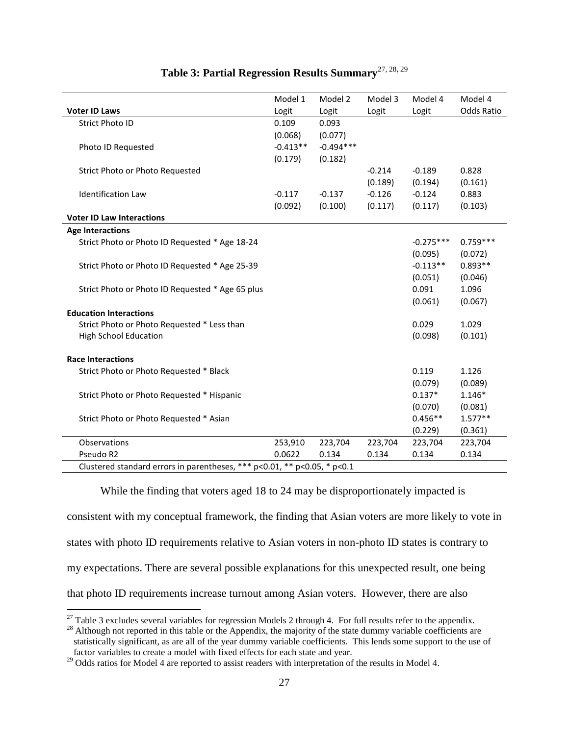<span id="page-32-0"></span>

|                                                                          | Model 1    | Model 2     | Model 3  | Model 4     | Model 4    |
|--------------------------------------------------------------------------|------------|-------------|----------|-------------|------------|
| <b>Voter ID Laws</b>                                                     | Logit      | Logit       | Logit    | Logit       | Odds Ratio |
| <b>Strict Photo ID</b>                                                   | 0.109      | 0.093       |          |             |            |
|                                                                          | (0.068)    | (0.077)     |          |             |            |
| Photo ID Requested                                                       | $-0.413**$ | $-0.494***$ |          |             |            |
|                                                                          | (0.179)    | (0.182)     |          |             |            |
| Strict Photo or Photo Requested                                          |            |             | $-0.214$ | $-0.189$    | 0.828      |
|                                                                          |            |             | (0.189)  | (0.194)     | (0.161)    |
| <b>Identification Law</b>                                                | $-0.117$   | $-0.137$    | $-0.126$ | $-0.124$    | 0.883      |
|                                                                          | (0.092)    | (0.100)     | (0.117)  | (0.117)     | (0.103)    |
| <b>Voter ID Law Interactions</b>                                         |            |             |          |             |            |
| <b>Age Interactions</b>                                                  |            |             |          |             |            |
| Strict Photo or Photo ID Requested * Age 18-24                           |            |             |          | $-0.275***$ | $0.759***$ |
|                                                                          |            |             |          | (0.095)     | (0.072)    |
| Strict Photo or Photo ID Requested * Age 25-39                           |            |             |          | $-0.113**$  | $0.893**$  |
|                                                                          |            |             |          | (0.051)     | (0.046)    |
| Strict Photo or Photo ID Requested * Age 65 plus                         |            |             |          | 0.091       | 1.096      |
|                                                                          |            |             |          | (0.061)     | (0.067)    |
| <b>Education Interactions</b>                                            |            |             |          |             |            |
| Strict Photo or Photo Requested * Less than                              |            |             |          | 0.029       | 1.029      |
| <b>High School Education</b>                                             |            |             |          | (0.098)     | (0.101)    |
|                                                                          |            |             |          |             |            |
| <b>Race Interactions</b>                                                 |            |             |          |             |            |
| Strict Photo or Photo Requested * Black                                  |            |             |          | 0.119       | 1.126      |
|                                                                          |            |             |          | (0.079)     | (0.089)    |
| Strict Photo or Photo Requested * Hispanic                               |            |             |          | $0.137*$    | $1.146*$   |
|                                                                          |            |             |          | (0.070)     | (0.081)    |
| Strict Photo or Photo Requested * Asian                                  |            |             |          | $0.456**$   | $1.577**$  |
|                                                                          |            |             |          | (0.229)     | (0.361)    |
| Observations                                                             | 253,910    | 223,704     | 223,704  | 223,704     | 223,704    |
| Pseudo R2                                                                | 0.0622     | 0.134       | 0.134    | 0.134       | 0.134      |
| Clustered standard errors in parentheses, *** p<0.01, ** p<0.05, * p<0.1 |            |             |          |             |            |

### **Table 3: Partial Regression Results Summary**27, 28, 29

While the finding that voters aged 18 to 24 may be disproportionately impacted is consistent with my conceptual framework, the finding that Asian voters are more likely to vote in states with photo ID requirements relative to Asian voters in non-photo ID states is contrary to my expectations. There are several possible explanations for this unexpected result, one being that photo ID requirements increase turnout among Asian voters. However, there are also

 $^{27}$  [Table 3](#page-32-0) excludes several variables for regression Models 2 through 4. For full results refer to the appendix.

 $^{28}$  Although not reported in this table or the Appendix, the majority of the state dummy variable coefficients are statistically significant, as are all of the year dummy variable coefficients. This lends some support to the use of factor variables to create a model with fixed effects for each state and year.

<sup>&</sup>lt;sup>29</sup> Odds ratios for Model 4 are reported to assist readers with interpretation of the results in Model 4.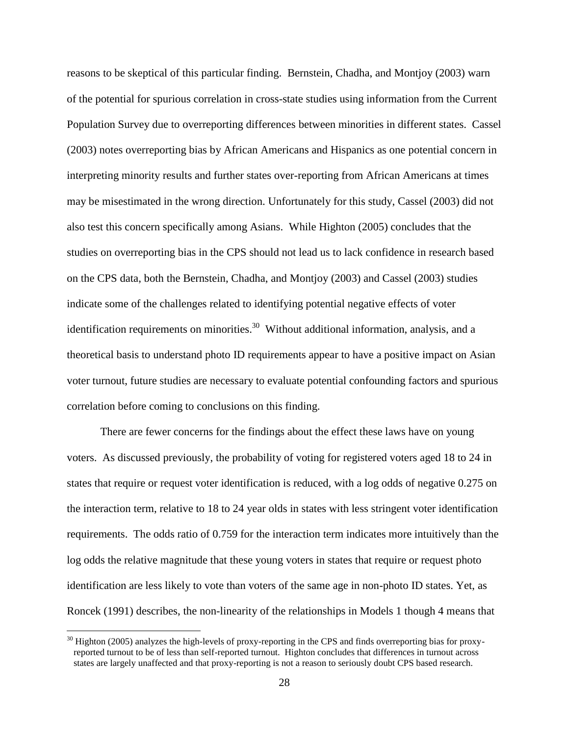reasons to be skeptical of this particular finding. Bernstein, Chadha, and Montjoy (2003) warn of the potential for spurious correlation in cross-state studies using information from the Current Population Survey due to overreporting differences between minorities in different states. Cassel (2003) notes overreporting bias by African Americans and Hispanics as one potential concern in interpreting minority results and further states over-reporting from African Americans at times may be misestimated in the wrong direction. Unfortunately for this study, Cassel (2003) did not also test this concern specifically among Asians. While Highton (2005) concludes that the studies on overreporting bias in the CPS should not lead us to lack confidence in research based on the CPS data, both the Bernstein, Chadha, and Montjoy (2003) and Cassel (2003) studies indicate some of the challenges related to identifying potential negative effects of voter identification requirements on minorities.<sup>30</sup> Without additional information, analysis, and a theoretical basis to understand photo ID requirements appear to have a positive impact on Asian voter turnout, future studies are necessary to evaluate potential confounding factors and spurious correlation before coming to conclusions on this finding.

There are fewer concerns for the findings about the effect these laws have on young voters. As discussed previously, the probability of voting for registered voters aged 18 to 24 in states that require or request voter identification is reduced, with a log odds of negative 0.275 on the interaction term, relative to 18 to 24 year olds in states with less stringent voter identification requirements. The odds ratio of 0.759 for the interaction term indicates more intuitively than the log odds the relative magnitude that these young voters in states that require or request photo identification are less likely to vote than voters of the same age in non-photo ID states. Yet, as Roncek (1991) describes, the non-linearity of the relationships in Models 1 though 4 means that

 $30$  Highton (2005) analyzes the high-levels of proxy-reporting in the CPS and finds overreporting bias for proxyreported turnout to be of less than self-reported turnout. Highton concludes that differences in turnout across states are largely unaffected and that proxy-reporting is not a reason to seriously doubt CPS based research.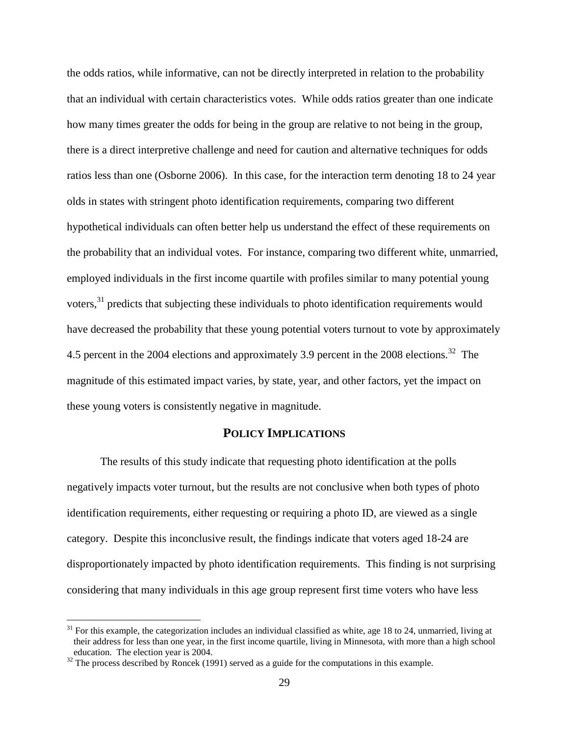the odds ratios, while informative, can not be directly interpreted in relation to the probability that an individual with certain characteristics votes. While odds ratios greater than one indicate how many times greater the odds for being in the group are relative to not being in the group, there is a direct interpretive challenge and need for caution and alternative techniques for odds ratios less than one (Osborne 2006). In this case, for the interaction term denoting 18 to 24 year olds in states with stringent photo identification requirements, comparing two different hypothetical individuals can often better help us understand the effect of these requirements on the probability that an individual votes. For instance, comparing two different white, unmarried, employed individuals in the first income quartile with profiles similar to many potential young voters,<sup>31</sup> predicts that subjecting these individuals to photo identification requirements would have decreased the probability that these young potential voters turnout to vote by approximately 4.5 percent in the 2004 elections and approximately 3.9 percent in the 2008 elections.<sup>32</sup> The magnitude of this estimated impact varies, by state, year, and other factors, yet the impact on these young voters is consistently negative in magnitude.

#### **POLICY IMPLICATIONS**

The results of this study indicate that requesting photo identification at the polls negatively impacts voter turnout, but the results are not conclusive when both types of photo identification requirements, either requesting or requiring a photo ID, are viewed as a single category. Despite this inconclusive result, the findings indicate that voters aged 18-24 are disproportionately impacted by photo identification requirements. This finding is not surprising considering that many individuals in this age group represent first time voters who have less

 $31$  For this example, the categorization includes an individual classified as white, age 18 to 24, unmarried, living at their address for less than one year, in the first income quartile, living in Minnesota, with more than a high school education. The election year is 2004.

 $32$  The process described by Roncek (1991) served as a guide for the computations in this example.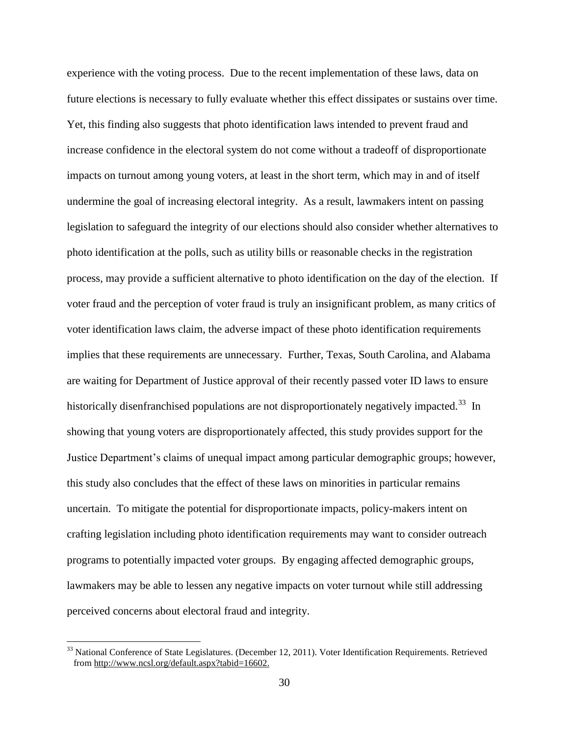experience with the voting process. Due to the recent implementation of these laws, data on future elections is necessary to fully evaluate whether this effect dissipates or sustains over time. Yet, this finding also suggests that photo identification laws intended to prevent fraud and increase confidence in the electoral system do not come without a tradeoff of disproportionate impacts on turnout among young voters, at least in the short term, which may in and of itself undermine the goal of increasing electoral integrity. As a result, lawmakers intent on passing legislation to safeguard the integrity of our elections should also consider whether alternatives to photo identification at the polls, such as utility bills or reasonable checks in the registration process, may provide a sufficient alternative to photo identification on the day of the election. If voter fraud and the perception of voter fraud is truly an insignificant problem, as many critics of voter identification laws claim, the adverse impact of these photo identification requirements implies that these requirements are unnecessary. Further, Texas, South Carolina, and Alabama are waiting for Department of Justice approval of their recently passed voter ID laws to ensure historically disenfranchised populations are not disproportionately negatively impacted.<sup>33</sup> In showing that young voters are disproportionately affected, this study provides support for the Justice Department's claims of unequal impact among particular demographic groups; however, this study also concludes that the effect of these laws on minorities in particular remains uncertain. To mitigate the potential for disproportionate impacts, policy-makers intent on crafting legislation including photo identification requirements may want to consider outreach programs to potentially impacted voter groups. By engaging affected demographic groups, lawmakers may be able to lessen any negative impacts on voter turnout while still addressing perceived concerns about electoral fraud and integrity.

 $33$  National Conference of State Legislatures. (December 12, 2011). Voter Identification Requirements. Retrieved from [http://www.ncsl.org/default.aspx?tabid=16602.](http://www.ncsl.org/default.aspx?tabid=16602)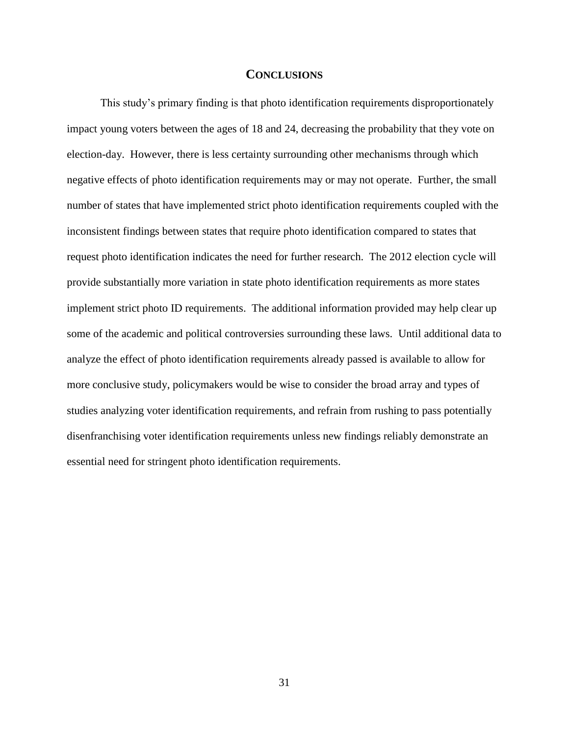#### **CONCLUSIONS**

This study's primary finding is that photo identification requirements disproportionately impact young voters between the ages of 18 and 24, decreasing the probability that they vote on election-day. However, there is less certainty surrounding other mechanisms through which negative effects of photo identification requirements may or may not operate. Further, the small number of states that have implemented strict photo identification requirements coupled with the inconsistent findings between states that require photo identification compared to states that request photo identification indicates the need for further research. The 2012 election cycle will provide substantially more variation in state photo identification requirements as more states implement strict photo ID requirements. The additional information provided may help clear up some of the academic and political controversies surrounding these laws. Until additional data to analyze the effect of photo identification requirements already passed is available to allow for more conclusive study, policymakers would be wise to consider the broad array and types of studies analyzing voter identification requirements, and refrain from rushing to pass potentially disenfranchising voter identification requirements unless new findings reliably demonstrate an essential need for stringent photo identification requirements.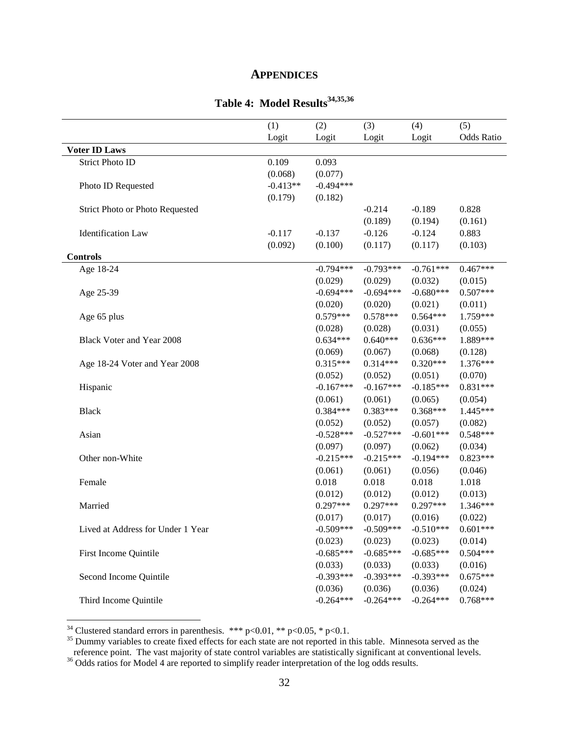#### **APPENDICES**

# **Table 4: Model Results34,35,36**

<span id="page-37-0"></span>

|                                        | (1)        | (2)         | (3)         | (4)         | (5)        |
|----------------------------------------|------------|-------------|-------------|-------------|------------|
|                                        | Logit      | Logit       | Logit       | Logit       | Odds Ratio |
| <b>Voter ID Laws</b>                   |            |             |             |             |            |
| <b>Strict Photo ID</b>                 | 0.109      | 0.093       |             |             |            |
|                                        | (0.068)    | (0.077)     |             |             |            |
| Photo ID Requested                     | $-0.413**$ | $-0.494***$ |             |             |            |
|                                        | (0.179)    | (0.182)     |             |             |            |
| <b>Strict Photo or Photo Requested</b> |            |             | $-0.214$    | $-0.189$    | 0.828      |
|                                        |            |             | (0.189)     | (0.194)     | (0.161)    |
| <b>Identification</b> Law              | $-0.117$   | $-0.137$    | $-0.126$    | $-0.124$    | 0.883      |
|                                        | (0.092)    | (0.100)     | (0.117)     | (0.117)     | (0.103)    |
| <b>Controls</b>                        |            |             |             |             |            |
| Age 18-24                              |            | $-0.794***$ | $-0.793***$ | $-0.761***$ | $0.467***$ |
|                                        |            | (0.029)     | (0.029)     | (0.032)     | (0.015)    |
| Age 25-39                              |            | $-0.694***$ | $-0.694***$ | $-0.680***$ | $0.507***$ |
|                                        |            | (0.020)     | (0.020)     | (0.021)     | (0.011)    |
| Age 65 plus                            |            | $0.579***$  | $0.578***$  | $0.564***$  | 1.759***   |
|                                        |            | (0.028)     | (0.028)     | (0.031)     | (0.055)    |
| Black Voter and Year 2008              |            | $0.634***$  | $0.640***$  | $0.636***$  | 1.889***   |
|                                        |            | (0.069)     | (0.067)     | (0.068)     | (0.128)    |
| Age 18-24 Voter and Year 2008          |            | $0.315***$  | $0.314***$  | $0.320***$  | $1.376***$ |
|                                        |            | (0.052)     | (0.052)     | (0.051)     | (0.070)    |
| Hispanic                               |            | $-0.167***$ | $-0.167***$ | $-0.185***$ | $0.831***$ |
|                                        |            | (0.061)     | (0.061)     | (0.065)     | (0.054)    |
| <b>Black</b>                           |            | $0.384***$  | $0.383***$  | $0.368***$  | 1.445***   |
|                                        |            | (0.052)     | (0.052)     | (0.057)     | (0.082)    |
| Asian                                  |            | $-0.528***$ | $-0.527***$ | $-0.601***$ | $0.548***$ |
|                                        |            | (0.097)     | (0.097)     | (0.062)     | (0.034)    |
| Other non-White                        |            | $-0.215***$ | $-0.215***$ | $-0.194***$ | $0.823***$ |
|                                        |            | (0.061)     | (0.061)     | (0.056)     | (0.046)    |
| Female                                 |            | 0.018       | 0.018       | 0.018       | 1.018      |
|                                        |            | (0.012)     | (0.012)     | (0.012)     | (0.013)    |
| Married                                |            | $0.297***$  | $0.297***$  | $0.297***$  | 1.346***   |
|                                        |            | (0.017)     | (0.017)     | (0.016)     | (0.022)    |
| Lived at Address for Under 1 Year      |            | $-0.509***$ | $-0.509***$ | $-0.510***$ | $0.601***$ |
|                                        |            | (0.023)     | (0.023)     | (0.023)     | (0.014)    |
| First Income Quintile                  |            | $-0.685***$ | $-0.685***$ | $-0.685***$ | $0.504***$ |
|                                        |            | (0.033)     | (0.033)     | (0.033)     | (0.016)    |
| Second Income Quintile                 |            | $-0.393***$ | $-0.393***$ | $-0.393***$ | $0.675***$ |
|                                        |            | (0.036)     | (0.036)     | (0.036)     | (0.024)    |
| Third Income Quintile                  |            | $-0.264***$ | $-0.264***$ | $-0.264***$ | $0.768***$ |

<sup>34</sup> Clustered standard errors in parenthesis. \*\*\* p<0.01, \*\* p<0.05, \* p<0.1.

 $\overline{a}$ 

<sup>35</sup> Dummy variables to create fixed effects for each state are not reported in this table. Minnesota served as the reference point. The vast majority of state control variables are statistically significant at conventional levels.

<sup>&</sup>lt;sup>36</sup> Odds ratios for Model 4 are reported to simplify reader interpretation of the log odds results.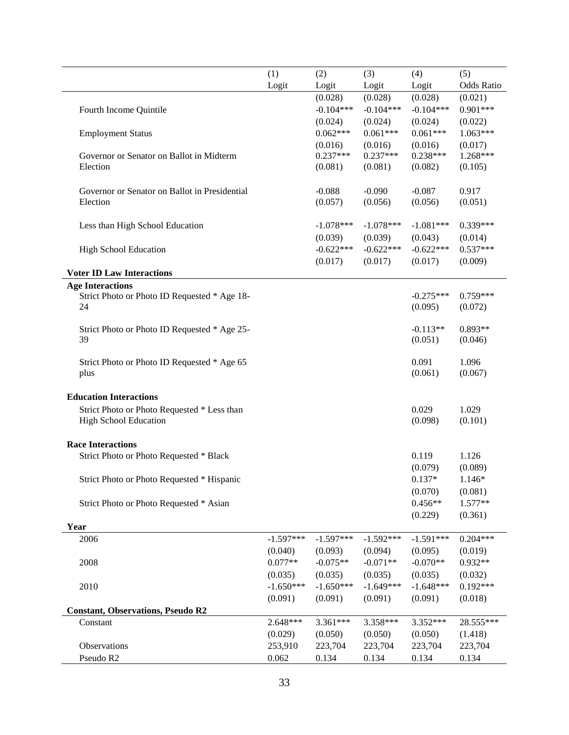|                                               | (1)         | (2)         | (3)         | (4)         | (5)        |
|-----------------------------------------------|-------------|-------------|-------------|-------------|------------|
|                                               | Logit       | Logit       | Logit       | Logit       | Odds Ratio |
|                                               |             | (0.028)     | (0.028)     | (0.028)     | (0.021)    |
| Fourth Income Quintile                        |             | $-0.104***$ | $-0.104***$ | $-0.104***$ | $0.901***$ |
|                                               |             | (0.024)     | (0.024)     | (0.024)     | (0.022)    |
| <b>Employment Status</b>                      |             | $0.062***$  | $0.061***$  | $0.061***$  | $1.063***$ |
|                                               |             | (0.016)     | (0.016)     | (0.016)     | (0.017)    |
| Governor or Senator on Ballot in Midterm      |             | $0.237***$  | $0.237***$  | $0.238***$  | 1.268***   |
| Election                                      |             | (0.081)     | (0.081)     | (0.082)     | (0.105)    |
|                                               |             |             |             |             |            |
| Governor or Senator on Ballot in Presidential |             | $-0.088$    | $-0.090$    | $-0.087$    | 0.917      |
| Election                                      |             | (0.057)     | (0.056)     | (0.056)     | (0.051)    |
|                                               |             |             |             |             |            |
| Less than High School Education               |             | $-1.078***$ | $-1.078***$ | $-1.081***$ | $0.339***$ |
|                                               |             | (0.039)     | (0.039)     | (0.043)     | (0.014)    |
| <b>High School Education</b>                  |             | $-0.622***$ | $-0.622***$ | $-0.622***$ | $0.537***$ |
|                                               |             | (0.017)     | (0.017)     | (0.017)     | (0.009)    |
| <b>Voter ID Law Interactions</b>              |             |             |             |             |            |
| <b>Age Interactions</b>                       |             |             |             |             |            |
| Strict Photo or Photo ID Requested * Age 18-  |             |             |             | $-0.275***$ | $0.759***$ |
| 24                                            |             |             |             | (0.095)     | (0.072)    |
|                                               |             |             |             |             |            |
| Strict Photo or Photo ID Requested * Age 25-  |             |             |             | $-0.113**$  | 0.893**    |
| 39                                            |             |             |             | (0.051)     | (0.046)    |
|                                               |             |             |             |             |            |
| Strict Photo or Photo ID Requested * Age 65   |             |             |             | 0.091       | 1.096      |
| plus                                          |             |             |             | (0.061)     | (0.067)    |
|                                               |             |             |             |             |            |
| <b>Education Interactions</b>                 |             |             |             |             |            |
| Strict Photo or Photo Requested * Less than   |             |             |             | 0.029       | 1.029      |
| High School Education                         |             |             |             | (0.098)     | (0.101)    |
|                                               |             |             |             |             |            |
| <b>Race Interactions</b>                      |             |             |             |             |            |
| Strict Photo or Photo Requested * Black       |             |             |             | 0.119       | 1.126      |
|                                               |             |             |             | (0.079)     | (0.089)    |
| Strict Photo or Photo Requested * Hispanic    |             |             |             | $0.137*$    | $1.146*$   |
|                                               |             |             |             | (0.070)     | (0.081)    |
| Strict Photo or Photo Requested * Asian       |             |             |             | $0.456**$   | $1.577**$  |
|                                               |             |             |             | (0.229)     | (0.361)    |
| Year                                          |             |             |             |             |            |
| 2006                                          | $-1.597***$ | $-1.597***$ | $-1.592***$ | $-1.591***$ | $0.204***$ |
|                                               | (0.040)     | (0.093)     | (0.094)     | (0.095)     | (0.019)    |
| 2008                                          | $0.077**$   | $-0.075**$  | $-0.071**$  | $-0.070**$  | $0.932**$  |
|                                               | (0.035)     | (0.035)     | (0.035)     | (0.035)     | (0.032)    |
| 2010                                          | $-1.650***$ | $-1.650***$ | $-1.649***$ | $-1.648***$ | $0.192***$ |
|                                               | (0.091)     | (0.091)     | (0.091)     | (0.091)     | (0.018)    |
| <b>Constant, Observations, Pseudo R2</b>      |             |             |             |             |            |
| Constant                                      | 2.648***    | $3.361***$  | 3.358***    | 3.352***    | 28.555***  |
|                                               | (0.029)     | (0.050)     | (0.050)     | (0.050)     | (1.418)    |
| Observations                                  | 253,910     | 223,704     | 223,704     | 223,704     | 223,704    |
| Pseudo R2                                     | 0.062       | 0.134       | 0.134       | 0.134       | 0.134      |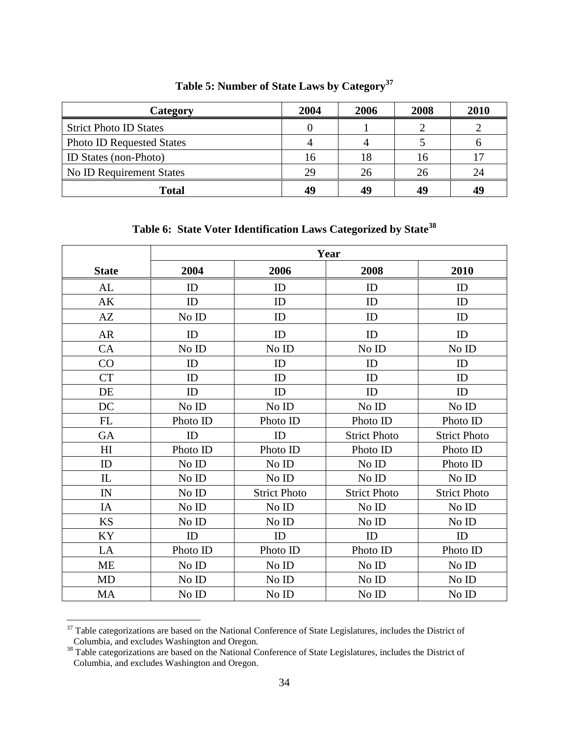<span id="page-39-0"></span>

| Category                         | 2004 | 2006 | 2008 | 2010 |
|----------------------------------|------|------|------|------|
| <b>Strict Photo ID States</b>    |      |      |      |      |
| <b>Photo ID Requested States</b> |      |      |      |      |
| <b>ID</b> States (non-Photo)     | 16   |      | 16   |      |
| <b>No ID Requirement States</b>  | 29   | 26   | 26   | 24   |
| <b>Total</b>                     | 49   | 49   | 49   | 49   |

**Table 5: Number of State Laws by Category<sup>37</sup>**

**Table 6: State Voter Identification Laws Categorized by State<sup>38</sup>**

<span id="page-39-1"></span>

|              | Year     |                     |                     |                     |  |  |  |
|--------------|----------|---------------------|---------------------|---------------------|--|--|--|
| <b>State</b> | 2004     | 2006                | 2008                | 2010                |  |  |  |
| AL           | ID       | ID                  | ID                  | ID                  |  |  |  |
| AK           | ID       | ID                  | ID                  | ID                  |  |  |  |
| AZ           | No ID    | ID                  | ID                  | ID                  |  |  |  |
| <b>AR</b>    | ID       | ID                  | ID                  | ID                  |  |  |  |
| CA           | No ID    | No ID               | No ID               | No ID               |  |  |  |
| CO           | ID       | ID                  | ID                  | ID                  |  |  |  |
| <b>CT</b>    | ID       | ID                  | ID                  | ID                  |  |  |  |
| DE           | ID       | ID                  | ID                  | ID                  |  |  |  |
| DC           | No ID    | No ID               | No ID               | No ID               |  |  |  |
| <b>FL</b>    | Photo ID | Photo ID            | Photo ID            | Photo ID            |  |  |  |
| GA           | ID       | ID                  | <b>Strict Photo</b> | <b>Strict Photo</b> |  |  |  |
| HI           | Photo ID | Photo ID            | Photo ID            | Photo ID            |  |  |  |
| ID           | No ID    | No ID               | No ID               | Photo ID            |  |  |  |
| IL           | No ID    | No ID               | No ID               | No ID               |  |  |  |
| IN           | No ID    | <b>Strict Photo</b> | <b>Strict Photo</b> | <b>Strict Photo</b> |  |  |  |
| IA           | No ID    | No ID               | No ID               | No ID               |  |  |  |
| <b>KS</b>    | No ID    | No ID               | No ID               | No ID               |  |  |  |
| KY           | ID       | ID                  | ID                  | ID                  |  |  |  |
| LA           | Photo ID | Photo ID            | Photo ID            | Photo ID            |  |  |  |
| <b>ME</b>    | No ID    | No ID               | No ID               | No ID               |  |  |  |
| <b>MD</b>    | No ID    | No ID               | No ID               | No ID               |  |  |  |
| MA           | No ID    | No ID               | No ID               | No ID               |  |  |  |

 $37$  Table categorizations are based on the National Conference of State Legislatures, includes the District of Columbia, and excludes Washington and Oregon.

<sup>&</sup>lt;sup>38</sup> Table categorizations are based on the National Conference of State Legislatures, includes the District of Columbia, and excludes Washington and Oregon.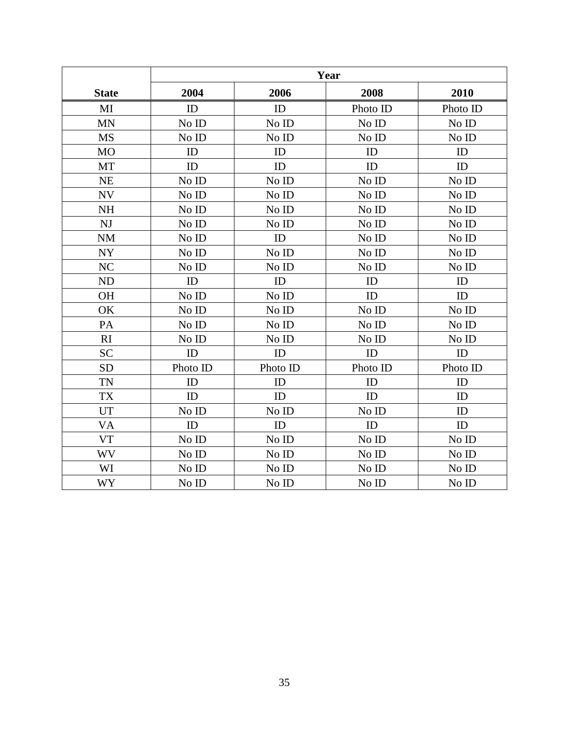|              | Year     |          |          |          |  |  |  |
|--------------|----------|----------|----------|----------|--|--|--|
| <b>State</b> | 2004     | 2006     | 2008     | 2010     |  |  |  |
| MI           | ID       | ID       | Photo ID | Photo ID |  |  |  |
| <b>MN</b>    | No ID    | No ID    | No ID    | No ID    |  |  |  |
| <b>MS</b>    | No ID    | No ID    | No ID    | No ID    |  |  |  |
| <b>MO</b>    | ID       | ID       | ID       | ID       |  |  |  |
| MT           | ID       | ID       | ID       | ID       |  |  |  |
| <b>NE</b>    | No ID    | No ID    | No ID    | No ID    |  |  |  |
| <b>NV</b>    | No ID    | No ID    | No ID    | No ID    |  |  |  |
| <b>NH</b>    | No ID    | No ID    | No ID    | No ID    |  |  |  |
| NJ           | No ID    | No ID    | No ID    | No ID    |  |  |  |
| <b>NM</b>    | No ID    | ID       | No ID    | No ID    |  |  |  |
| <b>NY</b>    | No ID    | No ID    | No ID    | No ID    |  |  |  |
| NC           | No ID    | No ID    | No ID    | No ID    |  |  |  |
| <b>ND</b>    | ID       | ID       | ID       | ID       |  |  |  |
| <b>OH</b>    | No ID    | No ID    | ID       | ID       |  |  |  |
| OK           | No ID    | No ID    | No ID    | No ID    |  |  |  |
| PA           | No ID    | No ID    | No ID    | No ID    |  |  |  |
| RI           | No ID    | No ID    | No ID    | No ID    |  |  |  |
| <b>SC</b>    | ID       | ID       | ID       | ID       |  |  |  |
| <b>SD</b>    | Photo ID | Photo ID | Photo ID | Photo ID |  |  |  |
| <b>TN</b>    | ID       | ID       | ID       | ID       |  |  |  |
| <b>TX</b>    | ID       | ID       | ID       | ID       |  |  |  |
| <b>UT</b>    | No ID    | No ID    | No ID    | ID       |  |  |  |
| VA           | ID       | ID       | ID       | ID       |  |  |  |
| <b>VT</b>    | No ID    | No ID    | No ID    | No ID    |  |  |  |
| WV           | No ID    | No ID    | No ID    | No ID    |  |  |  |
| WI           | No ID    | No ID    | No ID    | No ID    |  |  |  |
| <b>WY</b>    | No ID    | No ID    | No ID    | No ID    |  |  |  |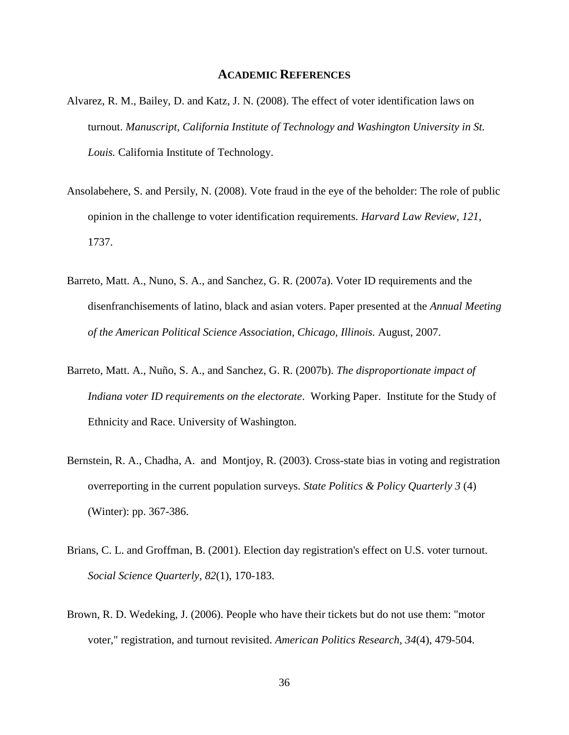#### **ACADEMIC REFERENCES**

- Alvarez, R. M., Bailey, D. and Katz, J. N. (2008). The effect of voter identification laws on turnout. *Manuscript, California Institute of Technology and Washington University in St. Louis.* California Institute of Technology.
- Ansolabehere, S. and Persily, N. (2008). Vote fraud in the eye of the beholder: The role of public opinion in the challenge to voter identification requirements. *Harvard Law Review, 121*, 1737.
- Barreto, Matt. A., Nuno, S. A., and Sanchez, G. R. (2007a). Voter ID requirements and the disenfranchisements of latino, black and asian voters. Paper presented at the *Annual Meeting of the American Political Science Association, Chicago, Illinois.* August, 2007.
- Barreto, Matt. A., Nuño, S. A., and Sanchez, G. R. (2007b). *The disproportionate impact of Indiana voter ID requirements on the electorate*. Working Paper. Institute for the Study of Ethnicity and Race. University of Washington.
- Bernstein, R. A., Chadha, A. and Montjoy, R. (2003). Cross-state bias in voting and registration overreporting in the current population surveys. *State Politics & Policy Quarterly 3* (4) (Winter): pp. 367-386.
- Brians, C. L. and Groffman, B. (2001). Election day registration's effect on U.S. voter turnout. *Social Science Quarterly, 82*(1), 170-183.
- Brown, R. D. Wedeking, J. (2006). People who have their tickets but do not use them: "motor voter," registration, and turnout revisited. *American Politics Research, 34*(4), 479-504.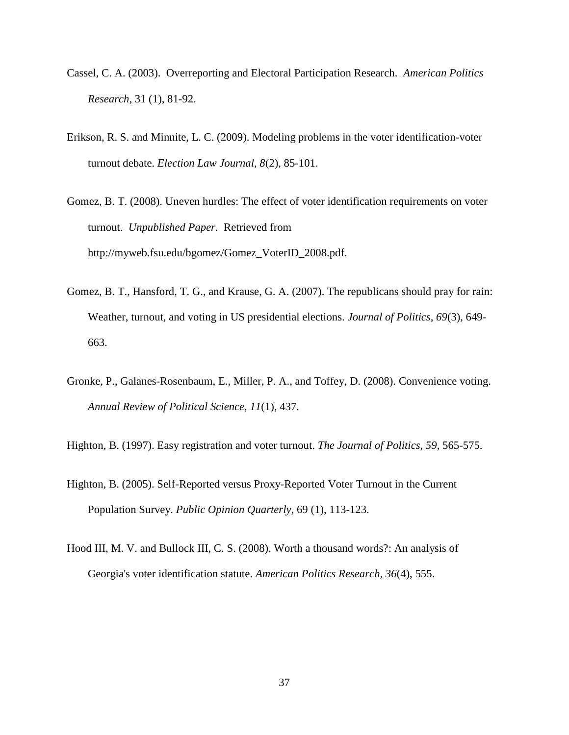- Cassel, C. A. (2003). Overreporting and Electoral Participation Research. *American Politics Research,* 31 (1), 81-92.
- Erikson, R. S. and Minnite, L. C. (2009). Modeling problems in the voter identification-voter turnout debate. *Election Law Journal, 8*(2), 85-101.
- Gomez, B. T. (2008). Uneven hurdles: The effect of voter identification requirements on voter turnout. *Unpublished Paper.* Retrieved from http://myweb.fsu.edu/bgomez/Gomez\_VoterID\_2008.pdf.
- Gomez, B. T., Hansford, T. G., and Krause, G. A. (2007). The republicans should pray for rain: Weather, turnout, and voting in US presidential elections. *Journal of Politics, 69*(3), 649- 663.
- Gronke, P., Galanes-Rosenbaum, E., Miller, P. A., and Toffey, D. (2008). Convenience voting. *Annual Review of Political Science, 11*(1), 437.
- Highton, B. (1997). Easy registration and voter turnout. *The Journal of Politics, 59*, 565-575.
- Highton, B. (2005). Self-Reported versus Proxy-Reported Voter Turnout in the Current Population Survey. *Public Opinion Quarterly,* 69 (1), 113-123.
- Hood III, M. V. and Bullock III, C. S. (2008). Worth a thousand words?: An analysis of Georgia's voter identification statute. *American Politics Research, 36*(4), 555.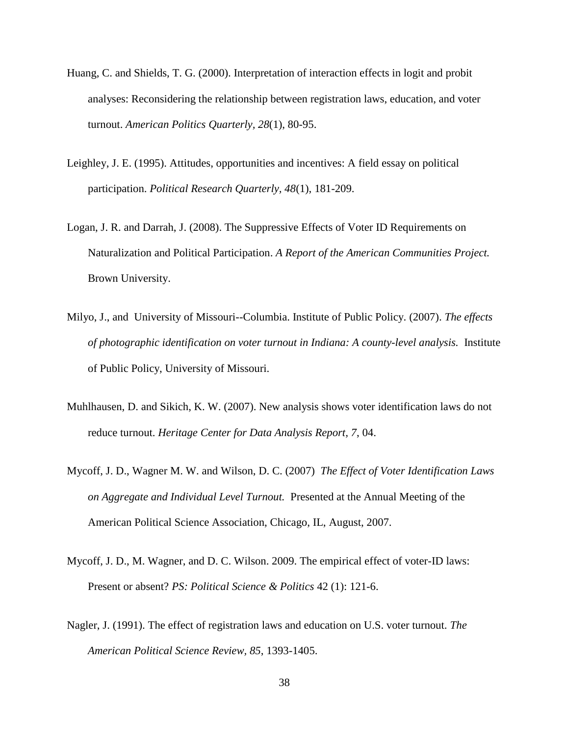- Huang, C. and Shields, T. G. (2000). Interpretation of interaction effects in logit and probit analyses: Reconsidering the relationship between registration laws, education, and voter turnout. *American Politics Quarterly, 28*(1), 80-95.
- Leighley, J. E. (1995). Attitudes, opportunities and incentives: A field essay on political participation. *Political Research Quarterly, 48*(1), 181-209.
- Logan, J. R. and Darrah, J. (2008). The Suppressive Effects of Voter ID Requirements on Naturalization and Political Participation. *A Report of the American Communities Project.*  Brown University.
- Milyo, J., and University of Missouri--Columbia. Institute of Public Policy. (2007). *The effects of photographic identification on voter turnout in Indiana: A county-level analysis.* Institute of Public Policy, University of Missouri.
- Muhlhausen, D. and Sikich, K. W. (2007). New analysis shows voter identification laws do not reduce turnout. *Heritage Center for Data Analysis Report, 7*, 04.
- Mycoff, J. D., Wagner M. W. and Wilson, D. C. (2007) *The Effect of Voter Identification Laws on Aggregate and Individual Level Turnout.* Presented at the Annual Meeting of the American Political Science Association, Chicago, IL, August, 2007.
- Mycoff, J. D., M. Wagner, and D. C. Wilson. 2009. The empirical effect of voter-ID laws: Present or absent? *PS: Political Science & Politics* 42 (1): 121-6.
- Nagler, J. (1991). The effect of registration laws and education on U.S. voter turnout. *The American Political Science Review, 85*, 1393-1405.